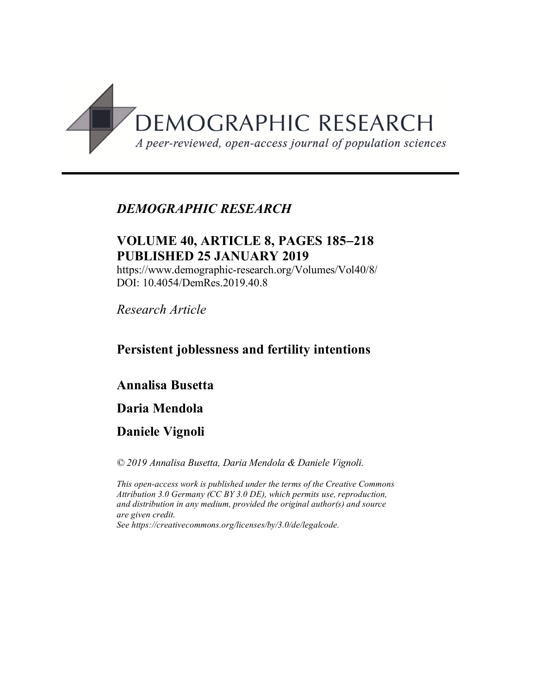

# *DEMOGRAPHIC RESEARCH*

# **VOLUME 40, ARTICLE 8, PAGES 185-218 PUBLISHED 25 JANUARY 2019**

https://www.demographic-research.org/Volumes/Vol40/8/ DOI: 10.4054/DemRes.2019.40.8

*Research Article*

# **Persistent joblessness and fertility intentions**

# **Annalisa Busetta**

## **Daria Mendola**

# **Daniele Vignoli**

*© 2019 Annalisa Busetta, Daria Mendola & Daniele Vignoli.*

*This open-access work is published under the terms of the Creative Commons Attribution 3.0 Germany (CC BY 3.0 DE), which permits use, reproduction, and distribution in any medium, provided the original author(s) and source are given credit. See [https://creativecommons.org/licenses/by/3.0/de/legalcode.](https://creativecommons.org/licenses/by/3.0/de/legalcode)*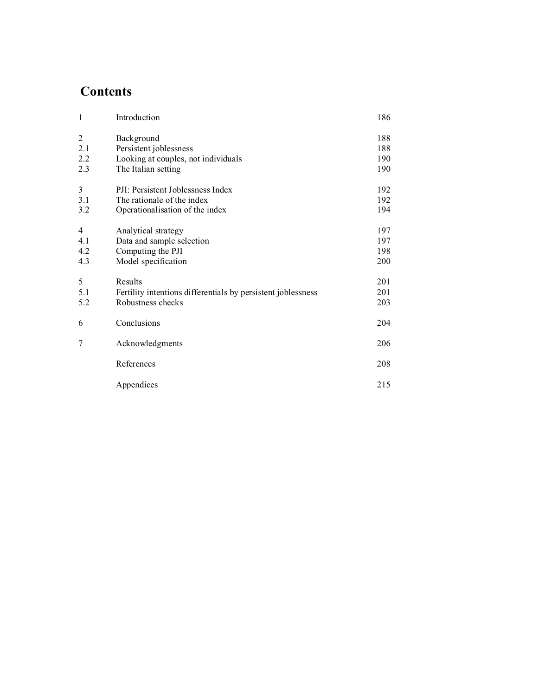# **Contents**

| $\overline{1}$ | Introduction                                                 | 186 |
|----------------|--------------------------------------------------------------|-----|
| $\overline{2}$ | Background                                                   | 188 |
| 2.1            | Persistent joblessness                                       | 188 |
| 2.2            | Looking at couples, not individuals                          | 190 |
| 2.3            | The Italian setting                                          | 190 |
| 3              | PJI: Persistent Joblessness Index                            | 192 |
| 3.1            | The rationale of the index                                   | 192 |
| 3.2            | Operationalisation of the index                              | 194 |
| $\overline{4}$ | Analytical strategy                                          | 197 |
| 4.1            | Data and sample selection                                    | 197 |
| 4.2            | Computing the PJI                                            | 198 |
| 4.3            | Model specification                                          | 200 |
| 5              | Results                                                      | 201 |
| 5.1            | Fertility intentions differentials by persistent joblessness | 201 |
| 5.2            | Robustness checks                                            | 203 |
| 6              | Conclusions                                                  | 204 |
| $\overline{7}$ | Acknowledgments                                              | 206 |
|                | References                                                   | 208 |
|                | Appendices                                                   | 215 |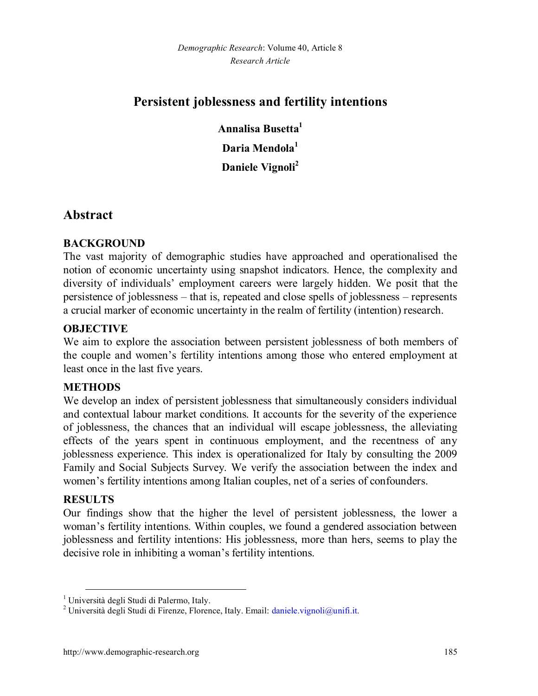# **Persistent joblessness and fertility intentions**

**Annalisa Busetta[1](#page-2-0) Daria Mendola<sup>1</sup> Daniele Vignoli[2](#page-2-1)**

## **Abstract**

## **BACKGROUND**

The vast majority of demographic studies have approached and operationalised the notion of economic uncertainty using snapshot indicators. Hence, the complexity and diversity of individuals' employment careers were largely hidden. We posit that the persistence of joblessness – that is, repeated and close spells of joblessness – represents a crucial marker of economic uncertainty in the realm of fertility (intention) research.

## **OBJECTIVE**

We aim to explore the association between persistent joblessness of both members of the couple and women's fertility intentions among those who entered employment at least once in the last five years.

### **METHODS**

We develop an index of persistent joblessness that simultaneously considers individual and contextual labour market conditions. It accounts for the severity of the experience of joblessness, the chances that an individual will escape joblessness, the alleviating effects of the years spent in continuous employment, and the recentness of any joblessness experience. This index is operationalized for Italy by consulting the 2009 Family and Social Subjects Survey. We verify the association between the index and women's fertility intentions among Italian couples, net of a series of confounders.

### **RESULTS**

Our findings show that the higher the level of persistent joblessness, the lower a woman's fertility intentions. Within couples, we found a gendered association between joblessness and fertility intentions: His joblessness, more than hers, seems to play the decisive role in inhibiting a woman's fertility intentions.

<span id="page-2-0"></span><sup>&</sup>lt;sup>1</sup> Università degli Studi di Palermo, Italy.

<span id="page-2-1"></span><sup>&</sup>lt;sup>2</sup> Università degli Studi di Firenze, Florence, Italy. Email: dani[ele.vignoli@unifi.it.](mailto:daniele.vignoli@unifi.it)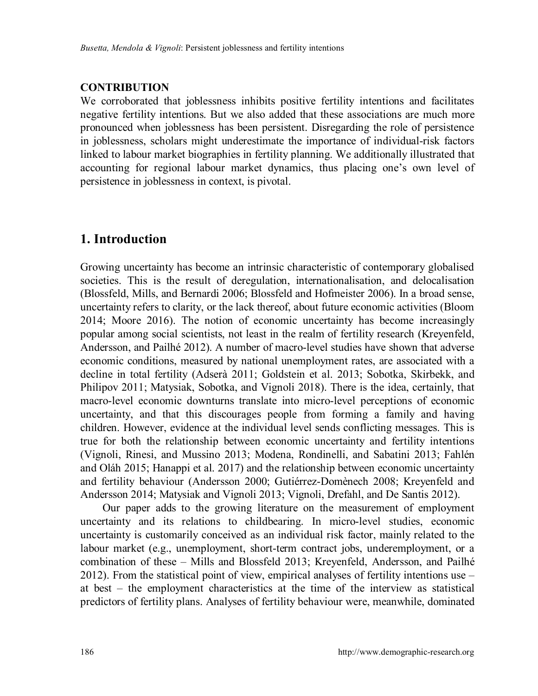## **CONTRIBUTION**

We corroborated that joblessness inhibits positive fertility intentions and facilitates negative fertility intentions. But we also added that these associations are much more pronounced when joblessness has been persistent. Disregarding the role of persistence in joblessness, scholars might underestimate the importance of individual-risk factors linked to labour market biographies in fertility planning. We additionally illustrated that accounting for regional labour market dynamics, thus placing one's own level of persistence in joblessness in context, is pivotal.

# **1. Introduction**

Growing uncertainty has become an intrinsic characteristic of contemporary globalised societies. This is the result of deregulation, internationalisation, and delocalisation (Blossfeld, Mills, and Bernardi 2006; Blossfeld and Hofmeister 2006). In a broad sense, uncertainty refers to clarity, or the lack thereof, about future economic activities (Bloom 2014; Moore 2016). The notion of economic uncertainty has become increasingly popular among social scientists, not least in the realm of fertility research (Kreyenfeld, Andersson, and Pailhé 2012). A number of macro-level studies have shown that adverse economic conditions, measured by national unemployment rates, are associated with a decline in total fertility (Adserà 2011; Goldstein et al. 2013; Sobotka, Skirbekk, and Philipov 2011; Matysiak, Sobotka, and Vignoli 2018). There is the idea, certainly, that macro-level economic downturns translate into micro-level perceptions of economic uncertainty, and that this discourages people from forming a family and having children. However, evidence at the individual level sends conflicting messages. This is true for both the relationship between economic uncertainty and fertility intentions (Vignoli, Rinesi, and Mussino 2013; Modena, Rondinelli, and Sabatini 2013; Fahlén and Oláh 2015; Hanappi et al. 2017) and the relationship between economic uncertainty and fertility behaviour (Andersson 2000; Gutiérrez-Domènech 2008; Kreyenfeld and Andersson 2014; Matysiak and Vignoli 2013; Vignoli, Drefahl, and De Santis 2012).

Our paper adds to the growing literature on the measurement of employment uncertainty and its relations to childbearing. In micro-level studies, economic uncertainty is customarily conceived as an individual risk factor, mainly related to the labour market (e.g., unemployment, short-term contract jobs, underemployment, or a combination of these – Mills and Blossfeld 2013; Kreyenfeld, Andersson, and Pailhé 2012). From the statistical point of view, empirical analyses of fertility intentions use – at best – the employment characteristics at the time of the interview as statistical predictors of fertility plans. Analyses of fertility behaviour were, meanwhile, dominated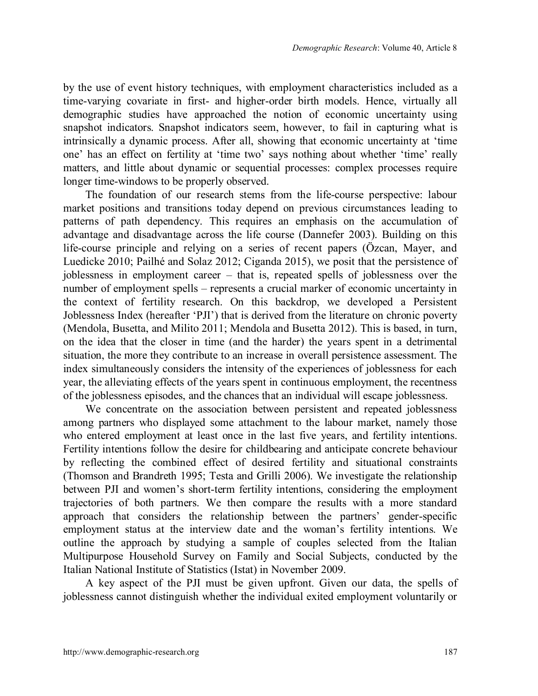by the use of event history techniques, with employment characteristics included as a time-varying covariate in first- and higher-order birth models. Hence, virtually all demographic studies have approached the notion of economic uncertainty using snapshot indicators. Snapshot indicators seem, however, to fail in capturing what is intrinsically a dynamic process. After all, showing that economic uncertainty at 'time one' has an effect on fertility at 'time two' says nothing about whether 'time' really matters, and little about dynamic or sequential processes: complex processes require longer time-windows to be properly observed.

The foundation of our research stems from the life-course perspective: labour market positions and transitions today depend on previous circumstances leading to patterns of path dependency. This requires an emphasis on the accumulation of advantage and disadvantage across the life course (Dannefer 2003). Building on this life-course principle and relying on a series of recent papers (Özcan, Mayer, and Luedicke 2010; Pailhé and Solaz 2012; Ciganda 2015), we posit that the persistence of joblessness in employment career – that is, repeated spells of joblessness over the number of employment spells – represents a crucial marker of economic uncertainty in the context of fertility research. On this backdrop, we developed a Persistent Joblessness Index (hereafter 'PJI') that is derived from the literature on chronic poverty (Mendola, Busetta, and Milito 2011; Mendola and Busetta 2012). This is based, in turn, on the idea that the closer in time (and the harder) the years spent in a detrimental situation, the more they contribute to an increase in overall persistence assessment. The index simultaneously considers the intensity of the experiences of joblessness for each year, the alleviating effects of the years spent in continuous employment, the recentness of the joblessness episodes, and the chances that an individual will escape joblessness.

We concentrate on the association between persistent and repeated joblessness among partners who displayed some attachment to the labour market, namely those who entered employment at least once in the last five years, and fertility intentions. Fertility intentions follow the desire for childbearing and anticipate concrete behaviour by reflecting the combined effect of desired fertility and situational constraints (Thomson and Brandreth 1995; Testa and Grilli 2006). We investigate the relationship between PJI and women's short-term fertility intentions, considering the employment trajectories of both partners. We then compare the results with a more standard approach that considers the relationship between the partners' gender-specific employment status at the interview date and the woman's fertility intentions. We outline the approach by studying a sample of couples selected from the Italian Multipurpose Household Survey on Family and Social Subjects, conducted by the Italian National Institute of Statistics (Istat) in November 2009.

A key aspect of the PJI must be given upfront. Given our data, the spells of joblessness cannot distinguish whether the individual exited employment voluntarily or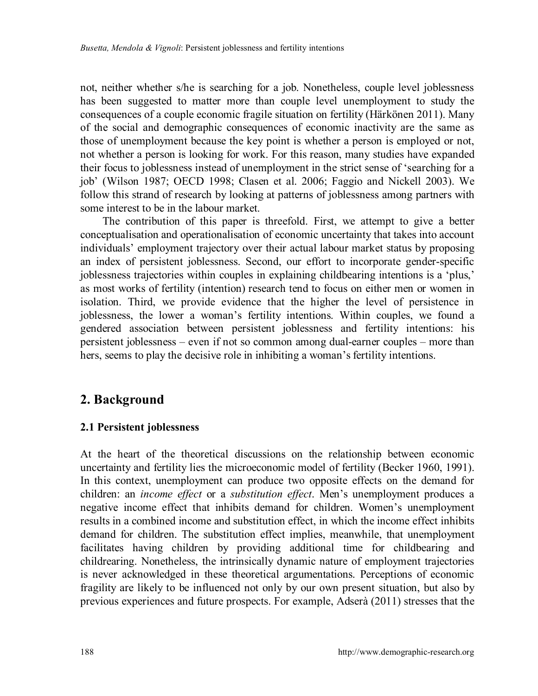not, neither whether s/he is searching for a job. Nonetheless, couple level joblessness has been suggested to matter more than couple level unemployment to study the consequences of a couple economic fragile situation on fertility (Härkönen 2011). Many of the social and demographic consequences of economic inactivity are the same as those of unemployment because the key point is whether a person is employed or not, not whether a person is looking for work. For this reason, many studies have expanded their focus to joblessness instead of unemployment in the strict sense of 'searching for a job' (Wilson 1987; OECD 1998; Clasen et al. 2006; Faggio and Nickell 2003). We follow this strand of research by looking at patterns of joblessness among partners with some interest to be in the labour market.

The contribution of this paper is threefold. First, we attempt to give a better conceptualisation and operationalisation of economic uncertainty that takes into account individuals' employment trajectory over their actual labour market status by proposing an index of persistent joblessness. Second, our effort to incorporate gender-specific joblessness trajectories within couples in explaining childbearing intentions is a 'plus,' as most works of fertility (intention) research tend to focus on either men or women in isolation. Third, we provide evidence that the higher the level of persistence in joblessness, the lower a woman's fertility intentions. Within couples, we found a gendered association between persistent joblessness and fertility intentions: his persistent joblessness – even if not so common among dual-earner couples – more than hers, seems to play the decisive role in inhibiting a woman's fertility intentions.

## **2. Background**

### **2.1 Persistent joblessness**

At the heart of the theoretical discussions on the relationship between economic uncertainty and fertility lies the microeconomic model of fertility (Becker 1960, 1991). In this context, unemployment can produce two opposite effects on the demand for children: an *income effect* or a *substitution effect*. Men's unemployment produces a negative income effect that inhibits demand for children. Women's unemployment results in a combined income and substitution effect, in which the income effect inhibits demand for children. The substitution effect implies, meanwhile, that unemployment facilitates having children by providing additional time for childbearing and childrearing. Nonetheless, the intrinsically dynamic nature of employment trajectories is never acknowledged in these theoretical argumentations. Perceptions of economic fragility are likely to be influenced not only by our own present situation, but also by previous experiences and future prospects. For example, Adserà (2011) stresses that the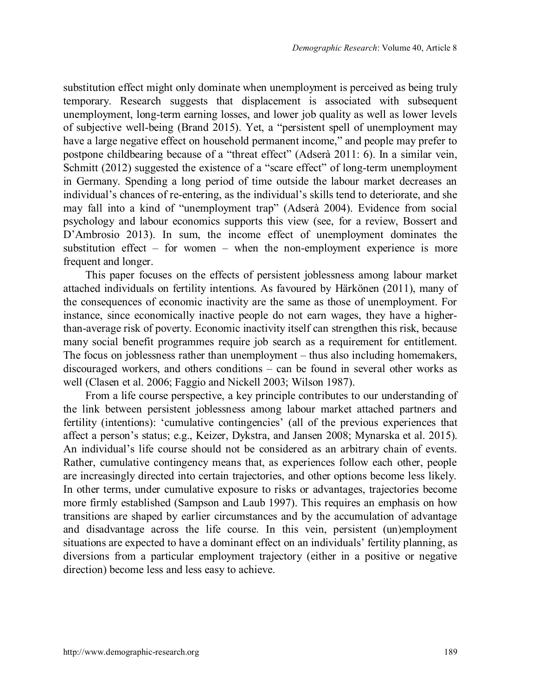substitution effect might only dominate when unemployment is perceived as being truly temporary. Research suggests that displacement is associated with subsequent unemployment, long-term earning losses, and lower job quality as well as lower levels of subjective well-being (Brand 2015). Yet, a "persistent spell of unemployment may have a large negative effect on household permanent income," and people may prefer to postpone childbearing because of a "threat effect" (Adserà 2011: 6). In a similar vein, Schmitt (2012) suggested the existence of a "scare effect" of long-term unemployment in Germany. Spending a long period of time outside the labour market decreases an individual's chances of re-entering, as the individual's skills tend to deteriorate, and she may fall into a kind of "unemployment trap" (Adserà 2004). Evidence from social psychology and labour economics supports this view (see, for a review, Bossert and D'Ambrosio 2013). In sum, the income effect of unemployment dominates the substitution effect – for women – when the non-employment experience is more frequent and longer.

This paper focuses on the effects of persistent joblessness among labour market attached individuals on fertility intentions. As favoured by Härkönen (2011), many of the consequences of economic inactivity are the same as those of unemployment. For instance, since economically inactive people do not earn wages, they have a higherthan-average risk of poverty. Economic inactivity itself can strengthen this risk, because many social benefit programmes require job search as a requirement for entitlement. The focus on joblessness rather than unemployment – thus also including homemakers, discouraged workers, and others conditions – can be found in several other works as well (Clasen et al. 2006; Faggio and Nickell 2003; Wilson 1987).

From a life course perspective, a key principle contributes to our understanding of the link between persistent joblessness among labour market attached partners and fertility (intentions): 'cumulative contingencies' (all of the previous experiences that affect a person's status; e.g., Keizer, Dykstra, and Jansen 2008; Mynarska et al. 2015). An individual's life course should not be considered as an arbitrary chain of events. Rather, cumulative contingency means that, as experiences follow each other, people are increasingly directed into certain trajectories, and other options become less likely. In other terms, under cumulative exposure to risks or advantages, trajectories become more firmly established (Sampson and Laub 1997). This requires an emphasis on how transitions are shaped by earlier circumstances and by the accumulation of advantage and disadvantage across the life course. In this vein, persistent (un)employment situations are expected to have a dominant effect on an individuals' fertility planning, as diversions from a particular employment trajectory (either in a positive or negative direction) become less and less easy to achieve.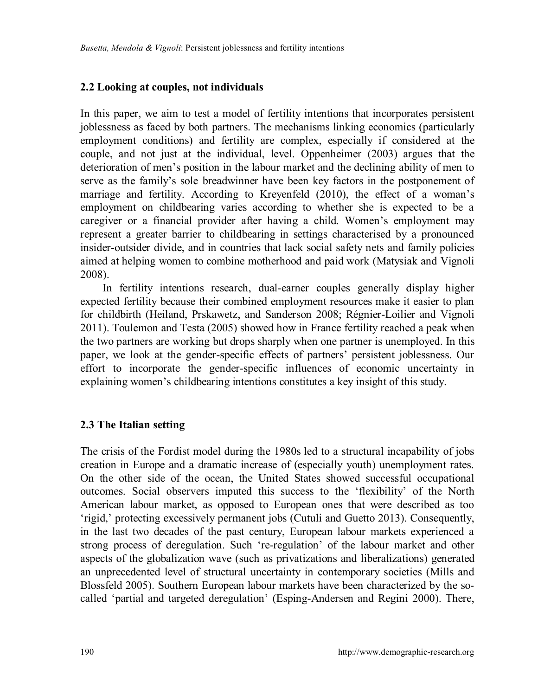#### **2.2 Looking at couples, not individuals**

In this paper, we aim to test a model of fertility intentions that incorporates persistent joblessness as faced by both partners. The mechanisms linking economics (particularly employment conditions) and fertility are complex, especially if considered at the couple, and not just at the individual, level. Oppenheimer (2003) argues that the deterioration of men's position in the labour market and the declining ability of men to serve as the family's sole breadwinner have been key factors in the postponement of marriage and fertility. According to Kreyenfeld (2010), the effect of a woman's employment on childbearing varies according to whether she is expected to be a caregiver or a financial provider after having a child. Women's employment may represent a greater barrier to childbearing in settings characterised by a pronounced insider-outsider divide, and in countries that lack social safety nets and family policies aimed at helping women to combine motherhood and paid work (Matysiak and Vignoli 2008).

In fertility intentions research, dual-earner couples generally display higher expected fertility because their combined employment resources make it easier to plan for childbirth (Heiland, Prskawetz, and Sanderson 2008; Régnier-Loilier and Vignoli 2011). Toulemon and Testa (2005) showed how in France fertility reached a peak when the two partners are working but drops sharply when one partner is unemployed. In this paper, we look at the gender-specific effects of partners' persistent joblessness. Our effort to incorporate the gender-specific influences of economic uncertainty in explaining women's childbearing intentions constitutes a key insight of this study.

### **2.3 The Italian setting**

The crisis of the Fordist model during the 1980s led to a structural incapability of jobs creation in Europe and a dramatic increase of (especially youth) unemployment rates. On the other side of the ocean, the United States showed successful occupational outcomes. Social observers imputed this success to the 'flexibility' of the North American labour market, as opposed to European ones that were described as too 'rigid,' protecting excessively permanent jobs (Cutuli and Guetto 2013). Consequently, in the last two decades of the past century, European labour markets experienced a strong process of deregulation. Such 're-regulation' of the labour market and other aspects of the globalization wave (such as privatizations and liberalizations) generated an unprecedented level of structural uncertainty in contemporary societies (Mills and Blossfeld 2005). Southern European labour markets have been characterized by the socalled 'partial and targeted deregulation' (Esping-Andersen and Regini 2000). There,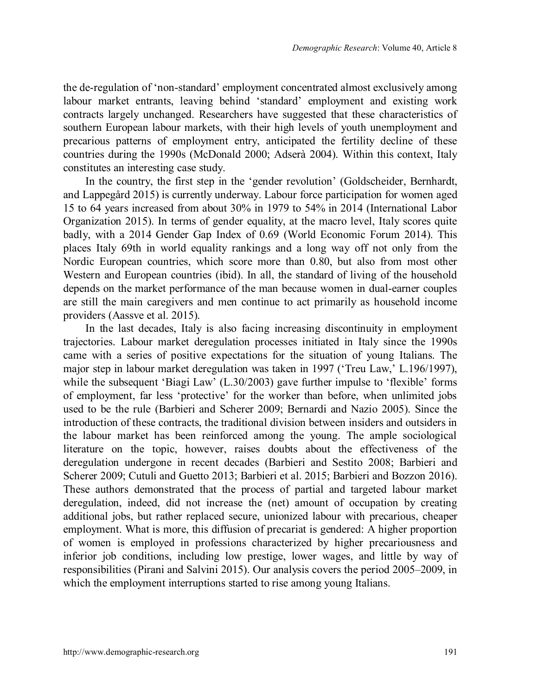the de-regulation of 'non-standard' employment concentrated almost exclusively among labour market entrants, leaving behind 'standard' employment and existing work contracts largely unchanged. Researchers have suggested that these characteristics of southern European labour markets, with their high levels of youth unemployment and precarious patterns of employment entry, anticipated the fertility decline of these countries during the 1990s (McDonald 2000; Adserà 2004). Within this context, Italy constitutes an interesting case study.

In the country, the first step in the 'gender revolution' (Goldscheider, Bernhardt, and Lappegård 2015) is currently underway. Labour force participation for women aged 15 to 64 years increased from about 30% in 1979 to 54% in 2014 (International Labor Organization 2015). In terms of gender equality, at the macro level, Italy scores quite badly, with a 2014 Gender Gap Index of 0.69 (World Economic Forum 2014). This places Italy 69th in world equality rankings and a long way off not only from the Nordic European countries, which score more than 0.80, but also from most other Western and European countries (ibid). In all, the standard of living of the household depends on the market performance of the man because women in dual-earner couples are still the main caregivers and men continue to act primarily as household income providers (Aassve et al. 2015).

In the last decades, Italy is also facing increasing discontinuity in employment trajectories. Labour market deregulation processes initiated in Italy since the 1990s came with a series of positive expectations for the situation of young Italians. The major step in labour market deregulation was taken in 1997 ('Treu Law,' L.196/1997), while the subsequent 'Biagi Law' (L.30/2003) gave further impulse to 'flexible' forms of employment, far less 'protective' for the worker than before, when unlimited jobs used to be the rule (Barbieri and Scherer 2009; Bernardi and Nazio 2005). Since the introduction of these contracts, the traditional division between insiders and outsiders in the labour market has been reinforced among the young. The ample sociological literature on the topic, however, raises doubts about the effectiveness of the deregulation undergone in recent decades (Barbieri and Sestito 2008; Barbieri and Scherer 2009; Cutuli and Guetto 2013; Barbieri et al. 2015; Barbieri and Bozzon 2016). These authors demonstrated that the process of partial and targeted labour market deregulation, indeed, did not increase the (net) amount of occupation by creating additional jobs, but rather replaced secure, unionized labour with precarious, cheaper employment. What is more, this diffusion of precariat is gendered: A higher proportion of women is employed in professions characterized by higher precariousness and inferior job conditions, including low prestige, lower wages, and little by way of responsibilities (Pirani and Salvini 2015). Our analysis covers the period 2005–2009, in which the employment interruptions started to rise among young Italians.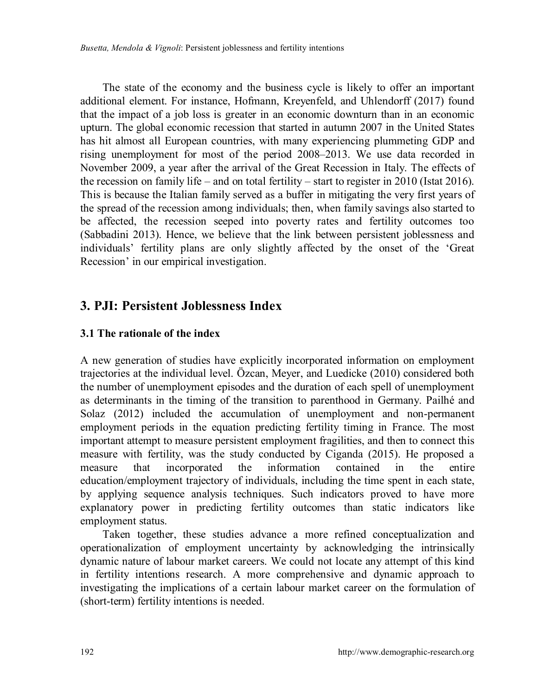The state of the economy and the business cycle is likely to offer an important additional element. For instance, Hofmann, Kreyenfeld, and Uhlendorff (2017) found that the impact of a job loss is greater in an economic downturn than in an economic upturn. The global economic recession that started in autumn 2007 in the United States has hit almost all European countries, with many experiencing plummeting GDP and rising unemployment for most of the period 2008–2013. We use data recorded in November 2009, a year after the arrival of the Great Recession in Italy. The effects of the recession on family life – and on total fertility – start to register in 2010 (Istat 2016). This is because the Italian family served as a buffer in mitigating the very first years of the spread of the recession among individuals; then, when family savings also started to be affected, the recession seeped into poverty rates and fertility outcomes too (Sabbadini 2013). Hence, we believe that the link between persistent joblessness and individuals' fertility plans are only slightly affected by the onset of the 'Great Recession' in our empirical investigation.

## **3. PJI: Persistent Joblessness Index**

#### **3.1 The rationale of the index**

A new generation of studies have explicitly incorporated information on employment trajectories at the individual level. Özcan, Meyer, and Luedicke (2010) considered both the number of unemployment episodes and the duration of each spell of unemployment as determinants in the timing of the transition to parenthood in Germany. Pailhé and Solaz (2012) included the accumulation of unemployment and non-permanent employment periods in the equation predicting fertility timing in France. The most important attempt to measure persistent employment fragilities, and then to connect this measure with fertility, was the study conducted by Ciganda (2015). He proposed a measure that incorporated the information contained in the entire education/employment trajectory of individuals, including the time spent in each state, by applying sequence analysis techniques. Such indicators proved to have more explanatory power in predicting fertility outcomes than static indicators like employment status.

Taken together, these studies advance a more refined conceptualization and operationalization of employment uncertainty by acknowledging the intrinsically dynamic nature of labour market careers. We could not locate any attempt of this kind in fertility intentions research. A more comprehensive and dynamic approach to investigating the implications of a certain labour market career on the formulation of (short-term) fertility intentions is needed.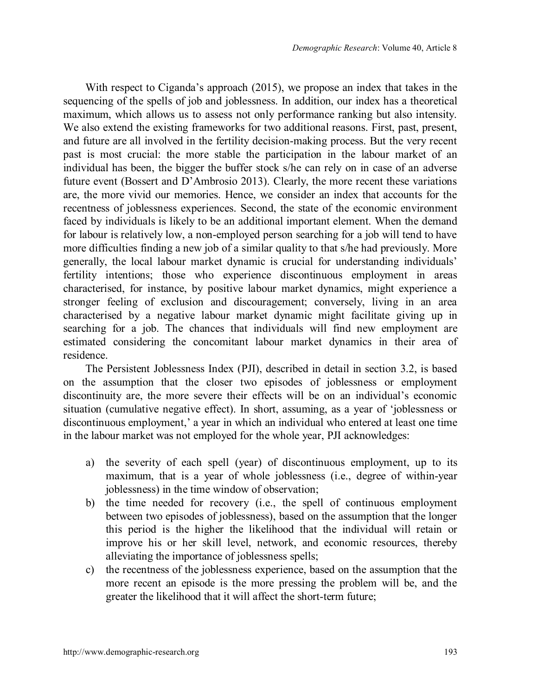With respect to Ciganda's approach (2015), we propose an index that takes in the sequencing of the spells of job and joblessness. In addition, our index has a theoretical maximum, which allows us to assess not only performance ranking but also intensity. We also extend the existing frameworks for two additional reasons. First, past, present, and future are all involved in the fertility decision-making process. But the very recent past is most crucial: the more stable the participation in the labour market of an individual has been, the bigger the buffer stock s/he can rely on in case of an adverse future event (Bossert and D'Ambrosio 2013). Clearly, the more recent these variations are, the more vivid our memories. Hence, we consider an index that accounts for the recentness of joblessness experiences. Second, the state of the economic environment faced by individuals is likely to be an additional important element. When the demand for labour is relatively low, a non-employed person searching for a job will tend to have more difficulties finding a new job of a similar quality to that s/he had previously. More generally, the local labour market dynamic is crucial for understanding individuals' fertility intentions; those who experience discontinuous employment in areas characterised, for instance, by positive labour market dynamics, might experience a stronger feeling of exclusion and discouragement; conversely, living in an area characterised by a negative labour market dynamic might facilitate giving up in searching for a job. The chances that individuals will find new employment are estimated considering the concomitant labour market dynamics in their area of residence.

The Persistent Joblessness Index (PJI), described in detail in section 3.2, is based on the assumption that the closer two episodes of joblessness or employment discontinuity are, the more severe their effects will be on an individual's economic situation (cumulative negative effect). In short, assuming, as a year of 'joblessness or discontinuous employment,' a year in which an individual who entered at least one time in the labour market was not employed for the whole year, PJI acknowledges:

- a) the severity of each spell (year) of discontinuous employment, up to its maximum, that is a year of whole joblessness (i.e., degree of within-year joblessness) in the time window of observation;
- b) the time needed for recovery (i.e., the spell of continuous employment between two episodes of joblessness), based on the assumption that the longer this period is the higher the likelihood that the individual will retain or improve his or her skill level, network, and economic resources, thereby alleviating the importance of joblessness spells;
- c) the recentness of the joblessness experience, based on the assumption that the more recent an episode is the more pressing the problem will be, and the greater the likelihood that it will affect the short-term future;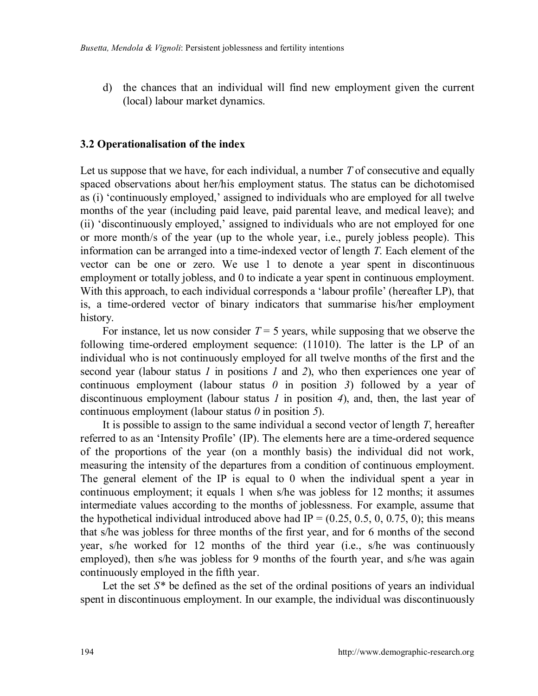d) the chances that an individual will find new employment given the current (local) labour market dynamics.

#### **3.2 Operationalisation of the index**

Let us suppose that we have, for each individual, a number *T* of consecutive and equally spaced observations about her/his employment status. The status can be dichotomised as (i) 'continuously employed,' assigned to individuals who are employed for all twelve months of the year (including paid leave, paid parental leave, and medical leave); and (ii) 'discontinuously employed,' assigned to individuals who are not employed for one or more month/s of the year (up to the whole year, i.e., purely jobless people). This information can be arranged into a time-indexed vector of length *T*. Each element of the vector can be one or zero. We use 1 to denote a year spent in discontinuous employment or totally jobless, and 0 to indicate a year spent in continuous employment. With this approach, to each individual corresponds a 'labour profile' (hereafter LP), that is, a time-ordered vector of binary indicators that summarise his/her employment history.

For instance, let us now consider  $T = 5$  years, while supposing that we observe the following time-ordered employment sequence: (11010). The latter is the LP of an individual who is not continuously employed for all twelve months of the first and the second year (labour status *1* in positions *1* and *2*), who then experiences one year of continuous employment (labour status *0* in position *3*) followed by a year of discontinuous employment (labour status *1* in position *4*), and, then, the last year of continuous employment (labour status *0* in position *5*).

It is possible to assign to the same individual a second vector of length *T*, hereafter referred to as an 'Intensity Profile' (IP). The elements here are a time-ordered sequence of the proportions of the year (on a monthly basis) the individual did not work, measuring the intensity of the departures from a condition of continuous employment. The general element of the IP is equal to 0 when the individual spent a year in continuous employment; it equals 1 when s/he was jobless for 12 months; it assumes intermediate values according to the months of joblessness. For example, assume that the hypothetical individual introduced above had  $IP = (0.25, 0.5, 0, 0.75, 0)$ ; this means that s/he was jobless for three months of the first year, and for 6 months of the second year, s/he worked for 12 months of the third year (i.e., s/he was continuously employed), then s/he was jobless for 9 months of the fourth year, and s/he was again continuously employed in the fifth year.

Let the set  $S^*$  be defined as the set of the ordinal positions of years an individual spent in discontinuous employment. In our example, the individual was discontinuously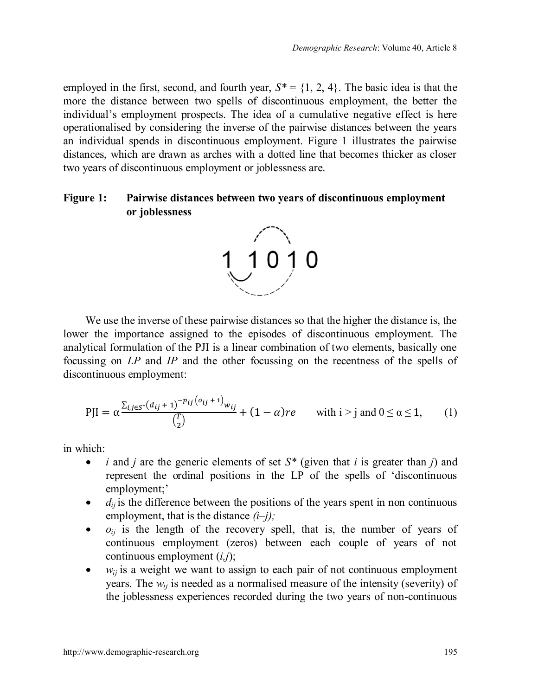employed in the first, second, and fourth year,  $S^* = \{1, 2, 4\}$ . The basic idea is that the more the distance between two spells of discontinuous employment, the better the individual's employment prospects. The idea of a cumulative negative effect is here operationalised by considering the inverse of the pairwise distances between the years an individual spends in discontinuous employment. Figure 1 illustrates the pairwise distances, which are drawn as arches with a dotted line that becomes thicker as closer two years of discontinuous employment or joblessness are.

#### **Figure 1: Pairwise distances between two years of discontinuous employment or joblessness**



We use the inverse of these pairwise distances so that the higher the distance is, the lower the importance assigned to the episodes of discontinuous employment. The analytical formulation of the PJI is a linear combination of two elements, basically one focussing on *LP* and *IP* and the other focussing on the recentness of the spells of discontinuous employment:

$$
PJI = \alpha \frac{\sum_{i,j \in S^*} (d_{ij} + 1)^{-p_{ij} (o_{ij} + 1)} w_{ij}}{\binom{T}{2}} + (1 - \alpha) re \quad \text{with } i > j \text{ and } 0 \le \alpha \le 1,
$$
 (1)

in which:

- ∂ *i* and *j* are the generic elements of set *S\** (given that *i* is greater than *j*) and represent the ordinal positions in the LP of the spells of 'discontinuous employment;'
- ∂ *dij* is the difference between the positions of the years spent in non continuous employment, that is the distance *(i–j);*
- ∂ *oij* is the length of the recovery spell, that is, the number of years of continuous employment (zeros) between each couple of years of not continuous employment (*i,j*);
- ∂ *wij* is a weight we want to assign to each pair of not continuous employment years. The  $w_{ii}$  is needed as a normalised measure of the intensity (severity) of the joblessness experiences recorded during the two years of non-continuous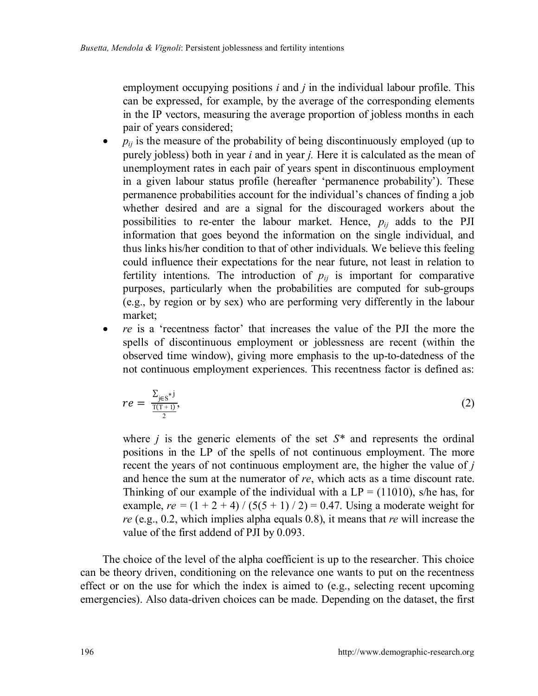employment occupying positions *i* and *j* in the individual labour profile. This can be expressed, for example, by the average of the corresponding elements in the IP vectors, measuring the average proportion of jobless months in each pair of years considered;

- ∂ *pij* is the measure of the probability of being discontinuously employed (up to purely jobless) both in year *i* and in year *j.* Here it is calculated as the mean of unemployment rates in each pair of years spent in discontinuous employment in a given labour status profile (hereafter 'permanence probability'). These permanence probabilities account for the individual's chances of finding a job whether desired and are a signal for the discouraged workers about the possibilities to re-enter the labour market. Hence,  $p_{ij}$  adds to the PJI information that goes beyond the information on the single individual, and thus links his/her condition to that of other individuals. We believe this feeling could influence their expectations for the near future, not least in relation to fertility intentions. The introduction of  $p_{ij}$  is important for comparative purposes, particularly when the probabilities are computed for sub-groups (e.g., by region or by sex) who are performing very differently in the labour market;
- ∂ *re* is a 'recentness factor' that increases the value of the PJI the more the spells of discontinuous employment or joblessness are recent (within the observed time window), giving more emphasis to the up-to-datedness of the not continuous employment experiences. This recentness factor is defined as:

$$
re = \frac{\sum_{j \in S^*} j}{\frac{T(T+1)}{2}},\tag{2}
$$

where *j* is the generic elements of the set *S\** and represents the ordinal positions in the LP of the spells of not continuous employment. The more recent the years of not continuous employment are, the higher the value of *j* and hence the sum at the numerator of *re*, which acts as a time discount rate. Thinking of our example of the individual with a  $LP = (11010)$ , s/he has, for example,  $re = (1 + 2 + 4) / (5(5 + 1) / 2) = 0.47$ . Using a moderate weight for *re* (e.g., 0.2, which implies alpha equals 0.8), it means that *re* will increase the value of the first addend of PJI by 0.093.

The choice of the level of the alpha coefficient is up to the researcher. This choice can be theory driven, conditioning on the relevance one wants to put on the recentness effect or on the use for which the index is aimed to (e.g., selecting recent upcoming emergencies). Also data-driven choices can be made. Depending on the dataset, the first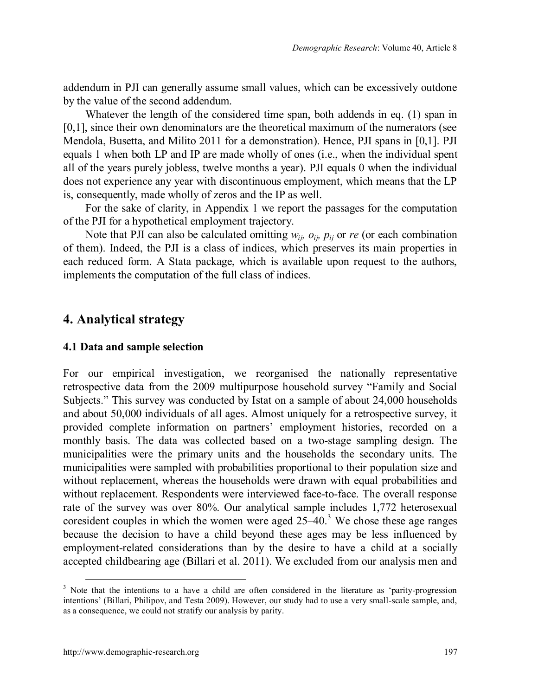addendum in PJI can generally assume small values, which can be excessively outdone by the value of the second addendum.

Whatever the length of the considered time span, both addends in eq. (1) span in [0,1], since their own denominators are the theoretical maximum of the numerators (see Mendola, Busetta, and Milito 2011 for a demonstration). Hence, PJI spans in [0,1]. PJI equals 1 when both LP and IP are made wholly of ones (i.e., when the individual spent all of the years purely jobless, twelve months a year). PJI equals 0 when the individual does not experience any year with discontinuous employment, which means that the LP is, consequently, made wholly of zeros and the IP as well.

For the sake of clarity, in Appendix 1 we report the passages for the computation of the PJI for a hypothetical employment trajectory.

Note that PJI can also be calculated omitting  $w_{i,j}$ ,  $o_{i,j}$ ,  $p_{i,j}$  or *re* (or each combination of them). Indeed, the PJI is a class of indices, which preserves its main properties in each reduced form. A Stata package, which is available upon request to the authors, implements the computation of the full class of indices.

## **4. Analytical strategy**

#### **4.1 Data and sample selection**

For our empirical investigation, we reorganised the nationally representative retrospective data from the 2009 multipurpose household survey "Family and Social Subjects." This survey was conducted by Istat on a sample of about 24,000 households and about 50,000 individuals of all ages. Almost uniquely for a retrospective survey, it provided complete information on partners' employment histories, recorded on a monthly basis. The data was collected based on a two-stage sampling design. The municipalities were the primary units and the households the secondary units. The municipalities were sampled with probabilities proportional to their population size and without replacement, whereas the households were drawn with equal probabilities and without replacement. Respondents were interviewed face-to-face. The overall response rate of the survey was over 80%. Our analytical sample includes 1,772 heterosexual coresident couples in which the women were aged  $25-40$ .<sup>[3](#page-14-0)</sup> We chose these age ranges because the decision to have a child beyond these ages may be less influenced by employment-related considerations than by the desire to have a child at a socially accepted childbearing age (Billari et al. 2011). We excluded from our analysis men and

<span id="page-14-0"></span><sup>&</sup>lt;sup>3</sup> Note that the intentions to a have a child are often considered in the literature as 'parity-progression intentions' (Billari, Philipov, and Testa 2009). However, our study had to use a very small-scale sample, and, as a consequence, we could not stratify our analysis by parity.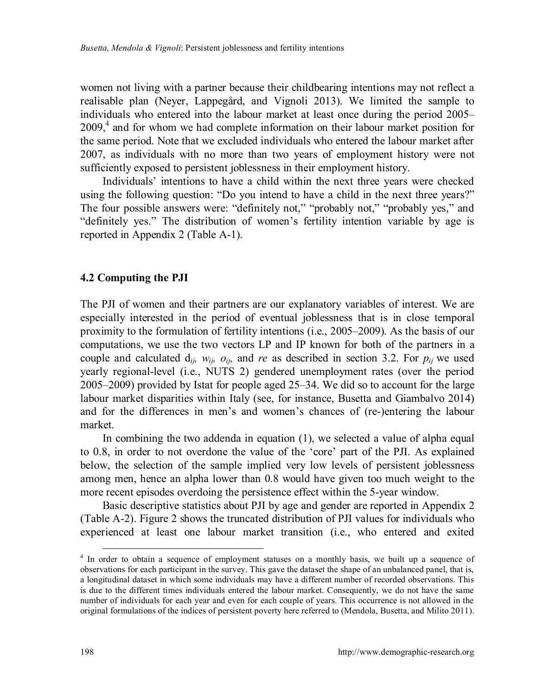women not living with a partner because their childbearing intentions may not reflect a realisable plan (Neyer, Lappegård, and Vignoli 2013). We limited the sample to individuals who entered into the labour market at least once during the period 2005–  $2009<sub>1</sub><sup>4</sup>$  $2009<sub>1</sub><sup>4</sup>$  $2009<sub>1</sub><sup>4</sup>$  and for whom we had complete information on their labour market position for the same period. Note that we excluded individuals who entered the labour market after 2007, as individuals with no more than two years of employment history were not sufficiently exposed to persistent joblessness in their employment history.

Individuals' intentions to have a child within the next three years were checked using the following question: "Do you intend to have a child in the next three years?" The four possible answers were: "definitely not," "probably not," "probably yes," and "definitely yes." The distribution of women's fertility intention variable by age is reported in Appendix 2 (Table A-1).

#### **4.2 Computing the PJI**

The PJI of women and their partners are our explanatory variables of interest. We are especially interested in the period of eventual joblessness that is in close temporal proximity to the formulation of fertility intentions (i.e., 2005–2009). As the basis of our computations, we use the two vectors LP and IP known for both of the partners in a couple and calculated  $d_{ij}$ *, w<sub>ij</sub>*,  $o_{ij}$ *,* and *re* as described in section 3.2. For  $p_{ij}$  we used yearly regional-level (i.e., NUTS 2) gendered unemployment rates (over the period 2005–2009) provided by Istat for people aged 25–34. We did so to account for the large labour market disparities within Italy (see, for instance, Busetta and Giambalvo 2014) and for the differences in men's and women's chances of (re-)entering the labour market.

In combining the two addenda in equation (1), we selected a value of alpha equal to 0.8, in order to not overdone the value of the 'core' part of the PJI. As explained below, the selection of the sample implied very low levels of persistent joblessness among men, hence an alpha lower than 0.8 would have given too much weight to the more recent episodes overdoing the persistence effect within the 5-year window.

Basic descriptive statistics about PJI by age and gender are reported in Appendix 2 (Table A-2). Figure 2 shows the truncated distribution of PJI values for individuals who experienced at least one labour market transition (i.e., who entered and exited

<span id="page-15-0"></span><sup>&</sup>lt;sup>4</sup> In order to obtain a sequence of employment statuses on a monthly basis, we built up a sequence of observations for each participant in the survey. This gave the dataset the shape of an unbalanced panel, that is, a longitudinal dataset in which some individuals may have a different number of recorded observations. This is due to the different times individuals entered the labour market. Consequently, we do not have the same number of individuals for each year and even for each couple of years. This occurrence is not allowed in the original formulations of the indices of persistent poverty here referred to (Mendola, Busetta, and Milito 2011).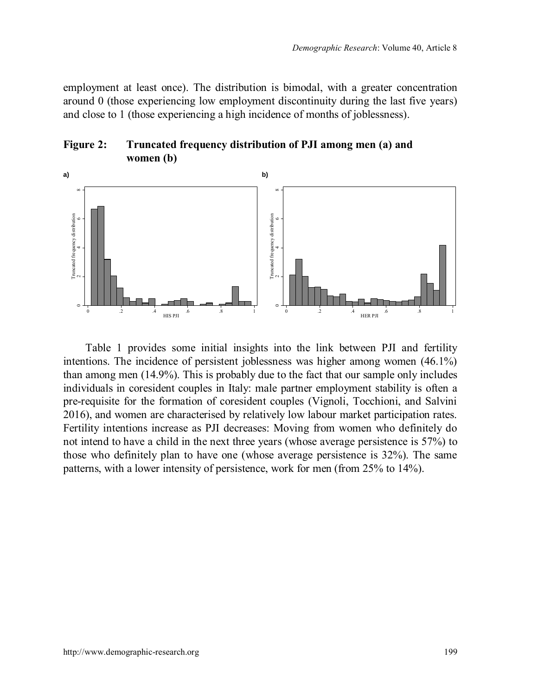employment at least once). The distribution is bimodal, with a greater concentration around 0 (those experiencing low employment discontinuity during the last five years) and close to 1 (those experiencing a high incidence of months of joblessness).





Table 1 provides some initial insights into the link between PJI and fertility intentions. The incidence of persistent joblessness was higher among women (46.1%) than among men (14.9%). This is probably due to the fact that our sample only includes individuals in coresident couples in Italy: male partner employment stability is often a pre-requisite for the formation of coresident couples (Vignoli, Tocchioni, and Salvini 2016), and women are characterised by relatively low labour market participation rates. Fertility intentions increase as PJI decreases: Moving from women who definitely do not intend to have a child in the next three years (whose average persistence is 57%) to those who definitely plan to have one (whose average persistence is 32%). The same patterns, with a lower intensity of persistence, work for men (from 25% to 14%).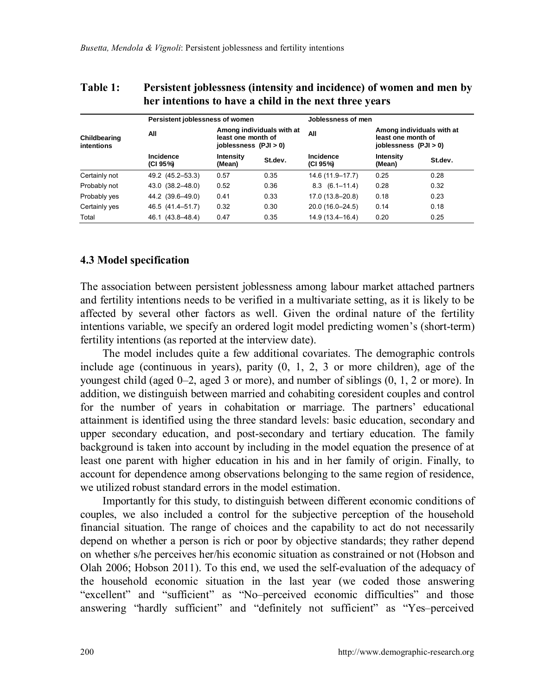| nei mienuons to nave a ennu in the next tin ee vears |                                 |                                                                                   |         |                       |                                                                          |         |  |
|------------------------------------------------------|---------------------------------|-----------------------------------------------------------------------------------|---------|-----------------------|--------------------------------------------------------------------------|---------|--|
|                                                      | Persistent joblessness of women |                                                                                   |         | Joblessness of men    |                                                                          |         |  |
| Childbearing<br>intentions                           | All                             | Among individuals with at<br>least one month of<br>$i$ oblessness $($ PJ $i$ > 0) |         | All                   | Among individuals with at<br>least one month of<br>joblessness (PJI > 0) |         |  |
|                                                      | Incidence<br>(CI 95%)           | Intensity<br>(Mean)                                                               | St.dev. | Incidence<br>(CI 95%) | Intensity<br>(Mean)                                                      | St.dev. |  |
| Certainly not                                        | 49.2 (45.2–53.3)                | 0.57                                                                              | 0.35    | 14.6 (11.9–17.7)      | 0.25                                                                     | 0.28    |  |
| Probably not                                         | 43.0 (38.2-48.0)                | 0.52                                                                              | 0.36    | $8.3(6.1-11.4)$       | 0.28                                                                     | 0.32    |  |
| Probably yes                                         | 44.2 (39.6-49.0)                | 0.41                                                                              | 0.33    | 17.0 (13.8-20.8)      | 0.18                                                                     | 0.23    |  |
| Certainly yes                                        | 46.5 (41.4-51.7)                | 0.32                                                                              | 0.30    | 20.0 (16.0-24.5)      | 0.14                                                                     | 0.18    |  |
| Total                                                | 46.1 (43.8-48.4)                | 0.47                                                                              | 0.35    | 14.9 (13.4–16.4)      | 0.20                                                                     | 0.25    |  |

#### **Table 1: Persistent joblessness (intensity and incidence) of women and men by her intentions to have a child in the next three years**

#### **4.3 Model specification**

The association between persistent joblessness among labour market attached partners and fertility intentions needs to be verified in a multivariate setting, as it is likely to be affected by several other factors as well. Given the ordinal nature of the fertility intentions variable, we specify an ordered logit model predicting women's (short-term) fertility intentions (as reported at the interview date).

The model includes quite a few additional covariates. The demographic controls include age (continuous in years), parity (0, 1, 2, 3 or more children), age of the youngest child (aged 0–2, aged 3 or more), and number of siblings (0, 1, 2 or more). In addition, we distinguish between married and cohabiting coresident couples and control for the number of years in cohabitation or marriage. The partners' educational attainment is identified using the three standard levels: basic education, secondary and upper secondary education, and post-secondary and tertiary education. The family background is taken into account by including in the model equation the presence of at least one parent with higher education in his and in her family of origin. Finally, to account for dependence among observations belonging to the same region of residence, we utilized robust standard errors in the model estimation.

Importantly for this study, to distinguish between different economic conditions of couples, we also included a control for the subjective perception of the household financial situation. The range of choices and the capability to act do not necessarily depend on whether a person is rich or poor by objective standards; they rather depend on whether s/he perceives her/his economic situation as constrained or not (Hobson and Olah 2006; Hobson 2011). To this end, we used the self-evaluation of the adequacy of the household economic situation in the last year (we coded those answering "excellent" and "sufficient" as "No–perceived economic difficulties" and those answering "hardly sufficient" and "definitely not sufficient" as "Yes–perceived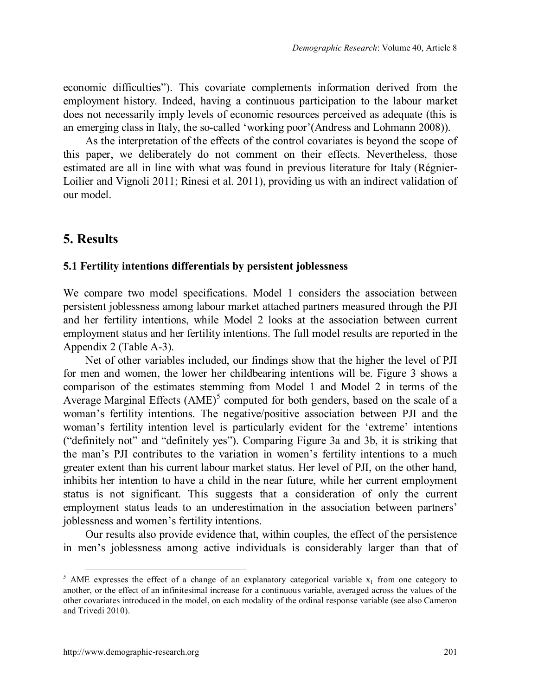economic difficulties"). This covariate complements information derived from the employment history. Indeed, having a continuous participation to the labour market does not necessarily imply levels of economic resources perceived as adequate (this is an emerging class in Italy, the so-called 'working poor'(Andress and Lohmann 2008)).

As the interpretation of the effects of the control covariates is beyond the scope of this paper, we deliberately do not comment on their effects. Nevertheless, those estimated are all in line with what was found in previous literature for Italy (Régnier-Loilier and Vignoli 2011; Rinesi et al. 2011), providing us with an indirect validation of our model.

## **5. Results**

#### **5.1 Fertility intentions differentials by persistent joblessness**

We compare two model specifications. Model 1 considers the association between persistent joblessness among labour market attached partners measured through the PJI and her fertility intentions, while Model 2 looks at the association between current employment status and her fertility intentions. The full model results are reported in the Appendix 2 (Table A-3).

Net of other variables included, our findings show that the higher the level of PJI for men and women, the lower her childbearing intentions will be. Figure 3 shows a comparison of the estimates stemming from Model 1 and Model 2 in terms of the Average Marginal Effects  $(AME)^5$  $(AME)^5$  computed for both genders, based on the scale of a woman's fertility intentions. The negative/positive association between PJI and the woman's fertility intention level is particularly evident for the 'extreme' intentions ("definitely not" and "definitely yes"). Comparing Figure 3a and 3b, it is striking that the man's PJI contributes to the variation in women's fertility intentions to a much greater extent than his current labour market status. Her level of PJI, on the other hand, inhibits her intention to have a child in the near future, while her current employment status is not significant. This suggests that a consideration of only the current employment status leads to an underestimation in the association between partners' joblessness and women's fertility intentions.

Our results also provide evidence that, within couples, the effect of the persistence in men's joblessness among active individuals is considerably larger than that of

<span id="page-18-0"></span><sup>&</sup>lt;sup>5</sup> AME expresses the effect of a change of an explanatory categorical variable  $x_1$  from one category to another, or the effect of an infinitesimal increase for a continuous variable, averaged across the values of the other covariates introduced in the model, on each modality of the ordinal response variable (see also Cameron and Trivedi 2010).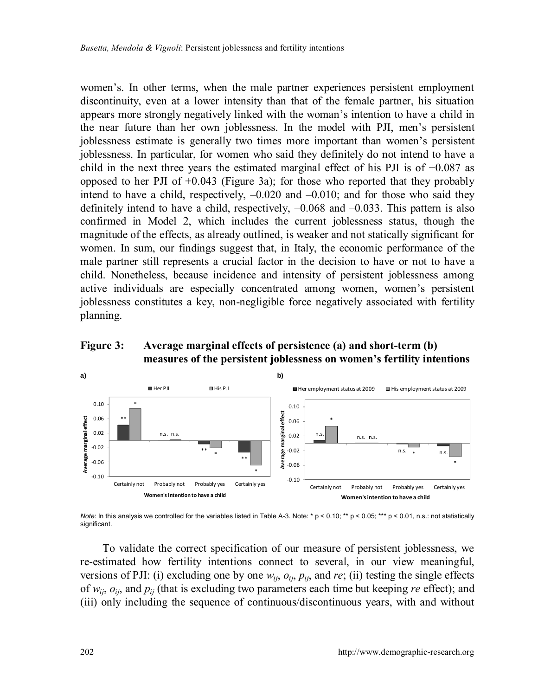women's. In other terms, when the male partner experiences persistent employment discontinuity, even at a lower intensity than that of the female partner, his situation appears more strongly negatively linked with the woman's intention to have a child in the near future than her own joblessness. In the model with PJI, men's persistent joblessness estimate is generally two times more important than women's persistent joblessness. In particular, for women who said they definitely do not intend to have a child in the next three years the estimated marginal effect of his PJI is of  $+0.087$  as opposed to her PJI of  $+0.043$  (Figure 3a); for those who reported that they probably intend to have a child, respectively,  $-0.020$  and  $-0.010$ ; and for those who said they definitely intend to have a child, respectively, –0.068 and –0.033. This pattern is also confirmed in Model 2, which includes the current joblessness status, though the magnitude of the effects, as already outlined, is weaker and not statically significant for women. In sum, our findings suggest that, in Italy, the economic performance of the male partner still represents a crucial factor in the decision to have or not to have a child. Nonetheless, because incidence and intensity of persistent joblessness among active individuals are especially concentrated among women, women's persistent joblessness constitutes a key, non-negligible force negatively associated with fertility planning.

### **Figure 3: Average marginal effects of persistence (a) and short-term (b) measures of the persistent joblessness on women's fertility intentions**



*Note*: In this analysis we controlled for the variables listed in Table A-3. Note: \* p < 0.10; \*\* p < 0.05; \*\*\* p < 0.01, n.s.: not statistically significant.

To validate the correct specification of our measure of persistent joblessness, we re-estimated how fertility intentions connect to several, in our view meaningful, versions of PJI: (i) excluding one by one  $w_{ii}$ ,  $o_{ii}$ ,  $p_{ii}$ , and *re*; (ii) testing the single effects of *wij*, *oij*, and *pij* (that is excluding two parameters each time but keeping *re* effect); and (iii) only including the sequence of continuous/discontinuous years, with and without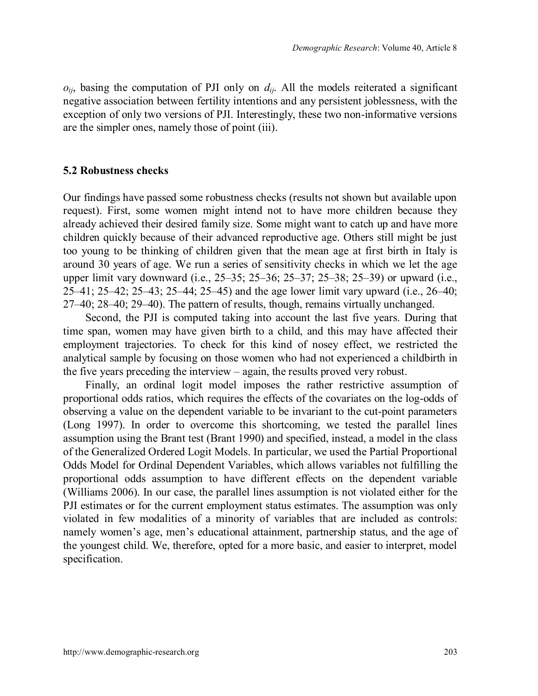$o_{ii}$ , basing the computation of PJI only on  $d_{ii}$ . All the models reiterated a significant negative association between fertility intentions and any persistent joblessness, with the exception of only two versions of PJI. Interestingly, these two non-informative versions are the simpler ones, namely those of point (iii).

#### **5.2 Robustness checks**

Our findings have passed some robustness checks (results not shown but available upon request). First, some women might intend not to have more children because they already achieved their desired family size. Some might want to catch up and have more children quickly because of their advanced reproductive age. Others still might be just too young to be thinking of children given that the mean age at first birth in Italy is around 30 years of age. We run a series of sensitivity checks in which we let the age upper limit vary downward (i.e., 25–35; 25–36; 25–37; 25–38; 25–39) or upward (i.e., 25–41; 25–42; 25–43; 25–44; 25–45) and the age lower limit vary upward (i.e., 26–40; 27–40; 28–40; 29–40). The pattern of results, though, remains virtually unchanged.

Second, the PJI is computed taking into account the last five years. During that time span, women may have given birth to a child, and this may have affected their employment trajectories. To check for this kind of nosey effect, we restricted the analytical sample by focusing on those women who had not experienced a childbirth in the five years preceding the interview – again, the results proved very robust.

Finally, an ordinal logit model imposes the rather restrictive assumption of proportional odds ratios, which requires the effects of the covariates on the log-odds of observing a value on the dependent variable to be invariant to the cut-point parameters (Long 1997). In order to overcome this shortcoming, we tested the parallel lines assumption using the Brant test (Brant 1990) and specified, instead, a model in the class of the Generalized Ordered Logit Models. In particular, we used the Partial Proportional Odds Model for Ordinal Dependent Variables, which allows variables not fulfilling the proportional odds assumption to have different effects on the dependent variable (Williams 2006). In our case, the parallel lines assumption is not violated either for the PJI estimates or for the current employment status estimates. The assumption was only violated in few modalities of a minority of variables that are included as controls: namely women's age, men's educational attainment, partnership status, and the age of the youngest child. We, therefore, opted for a more basic, and easier to interpret, model specification.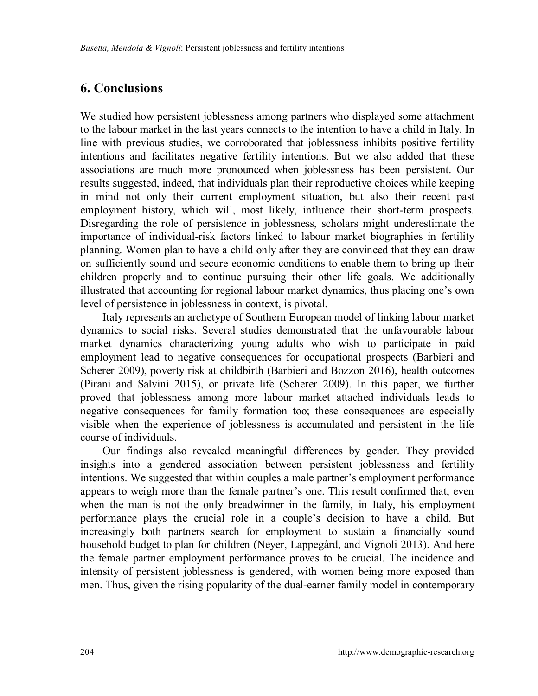# **6. Conclusions**

We studied how persistent joblessness among partners who displayed some attachment to the labour market in the last years connects to the intention to have a child in Italy. In line with previous studies, we corroborated that joblessness inhibits positive fertility intentions and facilitates negative fertility intentions. But we also added that these associations are much more pronounced when joblessness has been persistent. Our results suggested, indeed, that individuals plan their reproductive choices while keeping in mind not only their current employment situation, but also their recent past employment history, which will, most likely, influence their short-term prospects. Disregarding the role of persistence in joblessness, scholars might underestimate the importance of individual-risk factors linked to labour market biographies in fertility planning. Women plan to have a child only after they are convinced that they can draw on sufficiently sound and secure economic conditions to enable them to bring up their children properly and to continue pursuing their other life goals. We additionally illustrated that accounting for regional labour market dynamics, thus placing one's own level of persistence in joblessness in context, is pivotal.

Italy represents an archetype of Southern European model of linking labour market dynamics to social risks. Several studies demonstrated that the unfavourable labour market dynamics characterizing young adults who wish to participate in paid employment lead to negative consequences for occupational prospects (Barbieri and Scherer 2009), poverty risk at childbirth (Barbieri and Bozzon 2016), health outcomes (Pirani and Salvini 2015), or private life (Scherer 2009). In this paper, we further proved that joblessness among more labour market attached individuals leads to negative consequences for family formation too; these consequences are especially visible when the experience of joblessness is accumulated and persistent in the life course of individuals.

Our findings also revealed meaningful differences by gender. They provided insights into a gendered association between persistent joblessness and fertility intentions. We suggested that within couples a male partner's employment performance appears to weigh more than the female partner's one. This result confirmed that, even when the man is not the only breadwinner in the family, in Italy, his employment performance plays the crucial role in a couple's decision to have a child. But increasingly both partners search for employment to sustain a financially sound household budget to plan for children (Neyer, Lappegård, and Vignoli 2013). And here the female partner employment performance proves to be crucial. The incidence and intensity of persistent joblessness is gendered, with women being more exposed than men. Thus, given the rising popularity of the dual-earner family model in contemporary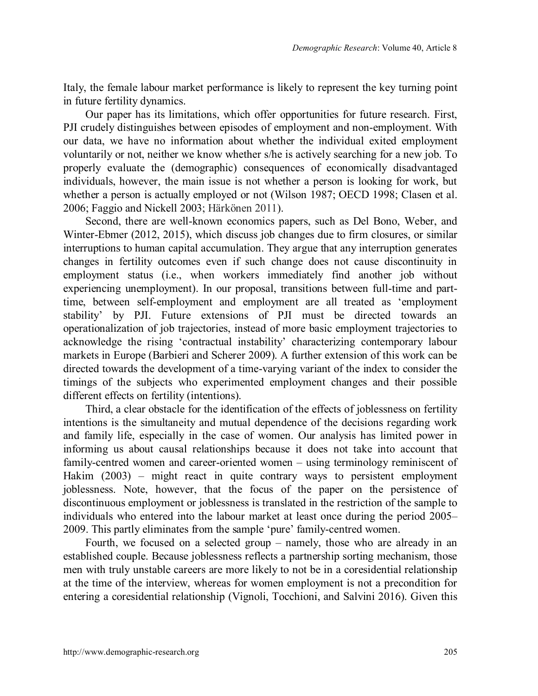Italy, the female labour market performance is likely to represent the key turning point in future fertility dynamics.

Our paper has its limitations, which offer opportunities for future research. First, PJI crudely distinguishes between episodes of employment and non-employment. With our data, we have no information about whether the individual exited employment voluntarily or not, neither we know whether s/he is actively searching for a new job. To properly evaluate the (demographic) consequences of economically disadvantaged individuals, however, the main issue is not whether a person is looking for work, but whether a person is actually employed or not (Wilson 1987; OECD 1998; Clasen et al. 2006; Faggio and Nickell 2003; Härkönen 2011).

Second, there are well-known economics papers, such as Del Bono, Weber, and Winter-Ebmer (2012, 2015), which discuss job changes due to firm closures, or similar interruptions to human capital accumulation. They argue that any interruption generates changes in fertility outcomes even if such change does not cause discontinuity in employment status (i.e., when workers immediately find another job without experiencing unemployment). In our proposal, transitions between full-time and parttime, between self-employment and employment are all treated as 'employment stability' by PJI. Future extensions of PJI must be directed towards an operationalization of job trajectories, instead of more basic employment trajectories to acknowledge the rising 'contractual instability' characterizing contemporary labour markets in Europe (Barbieri and Scherer 2009). A further extension of this work can be directed towards the development of a time-varying variant of the index to consider the timings of the subjects who experimented employment changes and their possible different effects on fertility (intentions).

Third, a clear obstacle for the identification of the effects of joblessness on fertility intentions is the simultaneity and mutual dependence of the decisions regarding work and family life, especially in the case of women. Our analysis has limited power in informing us about causal relationships because it does not take into account that family-centred women and career-oriented women – using terminology reminiscent of Hakim (2003) – might react in quite contrary ways to persistent employment joblessness. Note, however, that the focus of the paper on the persistence of discontinuous employment or joblessness is translated in the restriction of the sample to individuals who entered into the labour market at least once during the period 2005– 2009. This partly eliminates from the sample 'pure' family-centred women.

Fourth, we focused on a selected group – namely, those who are already in an established couple. Because joblessness reflects a partnership sorting mechanism, those men with truly unstable careers are more likely to not be in a coresidential relationship at the time of the interview, whereas for women employment is not a precondition for entering a coresidential relationship (Vignoli, Tocchioni, and Salvini 2016). Given this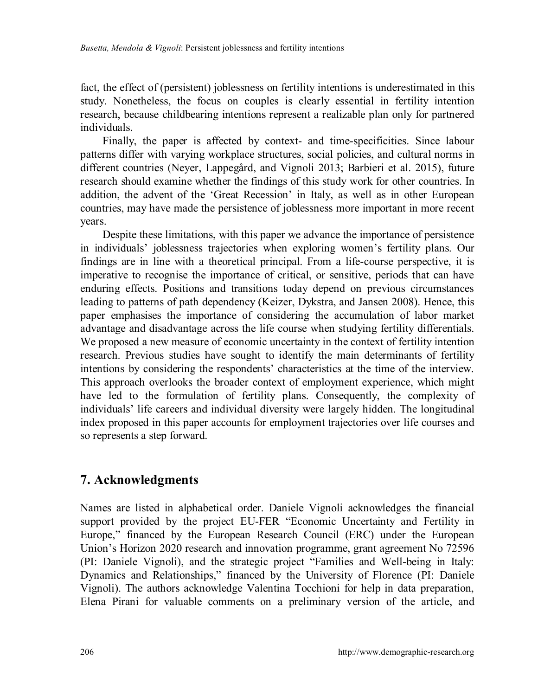fact, the effect of (persistent) joblessness on fertility intentions is underestimated in this study. Nonetheless, the focus on couples is clearly essential in fertility intention research, because childbearing intentions represent a realizable plan only for partnered individuals.

Finally, the paper is affected by context- and time-specificities. Since labour patterns differ with varying workplace structures, social policies, and cultural norms in different countries (Neyer, Lappegård, and Vignoli 2013; Barbieri et al. 2015), future research should examine whether the findings of this study work for other countries. In addition, the advent of the 'Great Recession' in Italy, as well as in other European countries, may have made the persistence of joblessness more important in more recent years.

Despite these limitations, with this paper we advance the importance of persistence in individuals' joblessness trajectories when exploring women's fertility plans. Our findings are in line with a theoretical principal. From a life-course perspective, it is imperative to recognise the importance of critical, or sensitive, periods that can have enduring effects. Positions and transitions today depend on previous circumstances leading to patterns of path dependency (Keizer, Dykstra, and Jansen 2008). Hence, this paper emphasises the importance of considering the accumulation of labor market advantage and disadvantage across the life course when studying fertility differentials. We proposed a new measure of economic uncertainty in the context of fertility intention research. Previous studies have sought to identify the main determinants of fertility intentions by considering the respondents' characteristics at the time of the interview. This approach overlooks the broader context of employment experience, which might have led to the formulation of fertility plans. Consequently, the complexity of individuals' life careers and individual diversity were largely hidden. The longitudinal index proposed in this paper accounts for employment trajectories over life courses and so represents a step forward.

## **7. Acknowledgments**

Names are listed in alphabetical order. Daniele Vignoli acknowledges the financial support provided by the project EU-FER "Economic Uncertainty and Fertility in Europe," financed by the European Research Council (ERC) under the European Union's Horizon 2020 research and innovation programme, grant agreement No 72596 (PI: Daniele Vignoli), and the strategic project "Families and Well-being in Italy: Dynamics and Relationships," financed by the University of Florence (PI: Daniele Vignoli). The authors acknowledge Valentina Tocchioni for help in data preparation, Elena Pirani for valuable comments on a preliminary version of the article, and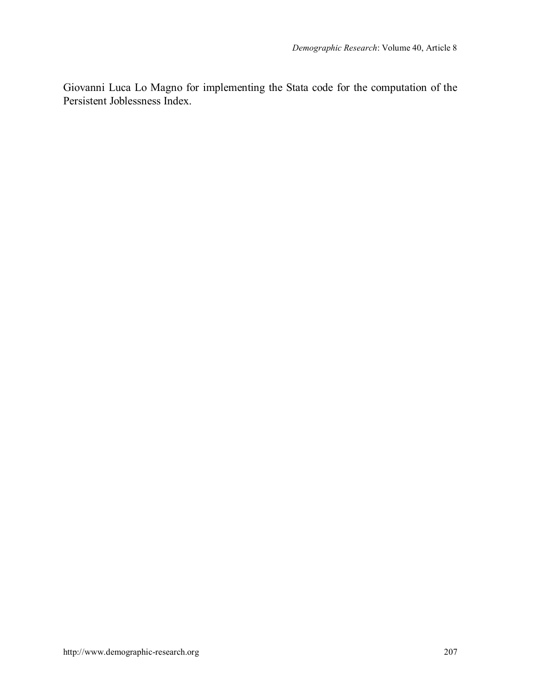Giovanni Luca Lo Magno for implementing the Stata code for the computation of the Persistent Joblessness Index.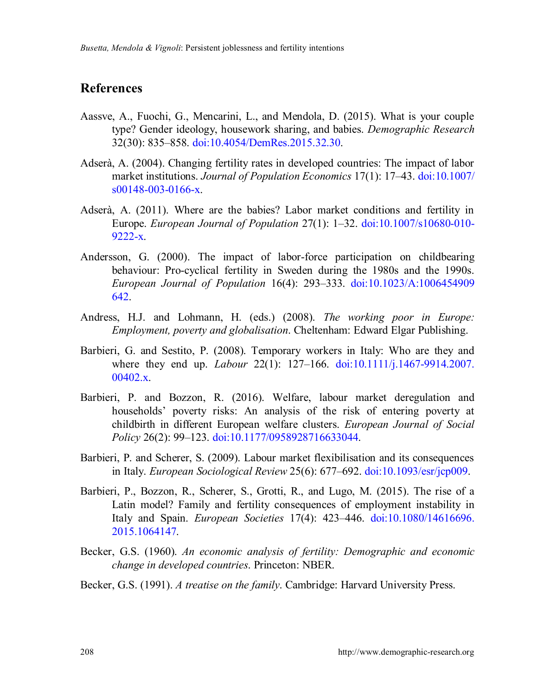## **References**

- Aassve, A., Fuochi, G., Mencarini, L., and Mendola, D. (2015). What is your couple type? Gender ideology, housework sharing, and babies. *Demographic Research* 32(30): 835–858. [doi:10.4054/DemRes.2015.32.30.](https://doi.org/10.4054/DemRes.2015.32.30)
- Adserà, A. (2004). Changing fertility rates in developed countries: The impact of labor market institutions. *Journal of Population Economics* 17(1): 17–43. [doi:10.1007/](https://doi.org/10.1007/s00148-003-0166-x) [s00148-003-0166-x.](https://doi.org/10.1007/s00148-003-0166-x)
- Adserà, A. (2011). Where are the babies? Labor market conditions and fertility in Europe. *European Journal of Population* 27(1): 1–32. [doi:10.1007/s10680-010-](https://doi.org/10.1007/s10680-010-9222-x) [9222-x.](https://doi.org/10.1007/s10680-010-9222-x)
- Andersson, G. (2000). The impact of labor-force participation on childbearing behaviour: Pro-cyclical fertility in Sweden during the 1980s and the 1990s. *European Journal of Population* 16(4): 293–333. [doi:10.1023/A:1006454909](https://doi.org/10.1023/A:1006454909642) [642.](https://doi.org/10.1023/A:1006454909642)
- Andress, H.J. and Lohmann, H. (eds.) (2008). *The working poor in Europe: Employment, poverty and globalisation*. Cheltenham: Edward Elgar Publishing.
- Barbieri, G. and Sestito, P. (2008). Temporary workers in Italy: Who are they and where they end up. *Labour* 22(1): 127–166. [doi:10.1111/j.1467-9914.2007.](https://doi.org/10.1111/j.1467-9914.2007.00402.x)  $00402.x.$
- Barbieri, P. and Bozzon, R. (2016). Welfare, labour market deregulation and households' poverty risks: An analysis of the risk of entering poverty at childbirth in different European welfare clusters. *European Journal of Social Policy* 26(2): 99–123. [doi:10.1177/0958928716633044.](https://doi.org/10.1177/0958928716633044)
- Barbieri, P. and Scherer, S. (2009). Labour market flexibilisation and its consequences in Italy. *European Sociological Review* 25(6): 677–692. [doi:10.1093/esr/jcp009.](https://doi.org/10.1093/esr/jcp009)
- Barbieri, P., Bozzon, R., Scherer, S., Grotti, R., and Lugo, M. (2015). The rise of a Latin model? Family and fertility consequences of employment instability in Italy and Spain. *European Societies* 17(4): 423–446. [doi:10.1080/14616696.](https://doi.org/10.1080/14616696.2015.1064147) [2015.1064147.](https://doi.org/10.1080/14616696.2015.1064147)
- Becker, G.S. (1960). *An economic analysis of fertility: Demographic and economic change in developed countries*. Princeton: NBER.
- Becker, G.S. (1991). *A treatise on the family*. Cambridge: Harvard University Press.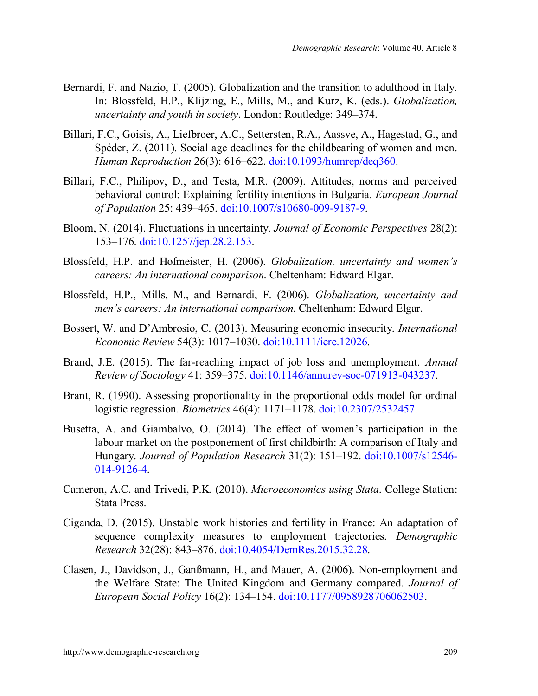- Bernardi, F. and Nazio, T. (2005). Globalization and the transition to adulthood in Italy. In: Blossfeld, H.P., Klijzing, E., Mills, M., and Kurz, K. (eds.). *Globalization, uncertainty and youth in society*. London: Routledge: 349–374.
- Billari, F.C., Goisis, A., Liefbroer, A.C., Settersten, R.A., Aassve, A., Hagestad, G., and Spéder, Z. (2011). Social age deadlines for the childbearing of women and men. *Human Reproduction* 26(3): 616–622. [doi:10.1093/humrep/deq360.](https://doi.org/10.1093/humrep/deq360)
- Billari, F.C., Philipov, D., and Testa, M.R. (2009). Attitudes, norms and perceived behavioral control: Explaining fertility intentions in Bulgaria. *European Journal of Population* 25: 439–465. [doi:10.1007/s10680-009-9187-9.](https://doi.org/10.1007/s10680-009-9187-9)
- Bloom, N. (2014). Fluctuations in uncertainty. *Journal of Economic Perspectives* 28(2): 153–176. [doi:10.1257/jep.28.2.153.](https://doi.org/10.1257/jep.28.2.153)
- Blossfeld, H.P. and Hofmeister, H. (2006). *Globalization, uncertainty and women's careers: An international comparison*. Cheltenham: Edward Elgar.
- Blossfeld, H.P., Mills, M., and Bernardi, F. (2006). *Globalization, uncertainty and men's careers: An international comparison*. Cheltenham: Edward Elgar.
- Bossert, W. and D'Ambrosio, C. (2013). Measuring economic insecurity. *International Economic Review* 54(3): 1017–1030. [doi:10.1111/iere.12026.](https://doi.org/10.1111/iere.12026)
- Brand, J.E. (2015). The far-reaching impact of job loss and unemployment. *Annual Review of Sociology* 41: 359–375. [doi:10.1146/annurev-soc-071913-043237.](https://doi.org/10.1146/annurev-soc-071913-043237)
- Brant, R. (1990). Assessing proportionality in the proportional odds model for ordinal logistic regression. *Biometrics* 46(4): 1171–1178. [doi:10.2307/2532457.](https://doi.org/10.2307/2532457)
- Busetta, A. and Giambalvo, O. (2014). The effect of women's participation in the labour market on the postponement of first childbirth: A comparison of Italy and Hungary. *Journal of Population Research* 31(2): 151–192. [doi:10.1007/s12546-](https://doi.org/10.1007/s12546-014-9126-4) [014-9126-4.](https://doi.org/10.1007/s12546-014-9126-4)
- Cameron, A.C. and Trivedi, P.K. (2010). *Microeconomics using Stata*. College Station: Stata Press.
- Ciganda, D. (2015). Unstable work histories and fertility in France: An adaptation of sequence complexity measures to employment trajectories. *Demographic Research* 32(28): 843–876. [doi:10.4054/DemRes.2015.32.28.](https://doi.org/10.4054/DemRes.2015.32.28)
- Clasen, J., Davidson, J., Ganßmann, H., and Mauer, A. (2006). Non-employment and the Welfare State: The United Kingdom and Germany compared. *Journal of European Social Policy* 16(2): 134–154. [doi:10.1177/0958928706062503.](https://doi.org/10.1177/0958928706062503)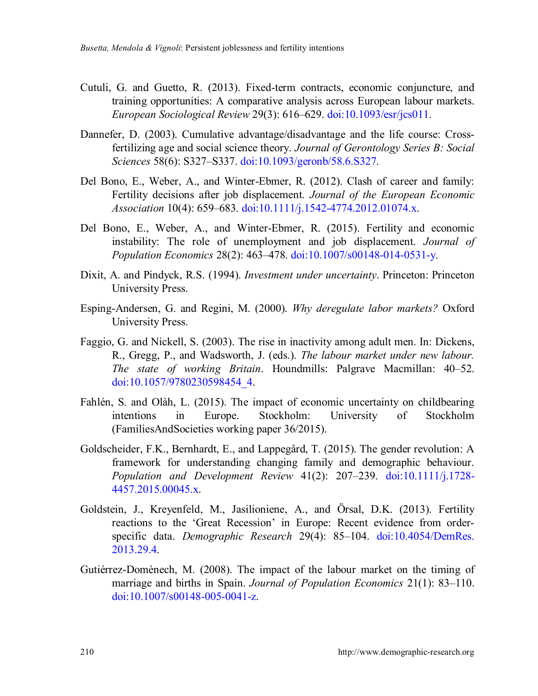- Cutuli, G. and Guetto, R. (2013). Fixed-term contracts, economic conjuncture, and training opportunities: A comparative analysis across European labour markets. *European Sociological Review* 29(3): 616–629. [doi:10.1093/esr/jcs011.](https://doi.org/10.1093/esr/jcs011)
- Dannefer, D. (2003). Cumulative advantage/disadvantage and the life course: Crossfertilizing age and social science theory. *Journal of Gerontology Series B: Social Sciences* 58(6): S327–S337. [doi:10.1093/geronb/58.6.S327.](https://doi.org/10.1093/geronb/58.6.S327)
- Del Bono, E., Weber, A., and Winter-Ebmer, R. (2012). Clash of career and family: Fertility decisions after job displacement. *Journal of the European Economic Association* 10(4): 659–683. [doi:10.1111/j.1542-4774.2012.01074.x.](https://doi.org/10.1111/j.1542-4774.2012.01074.x)
- Del Bono, E., Weber, A., and Winter-Ebmer, R. (2015). Fertility and economic instability: The role of unemployment and job displacement. *Journal of Population Economics* 28(2): 463–478. [doi:10.1007/s00148-014-0531-y.](https://doi.org/10.1007/s00148-014-0531-y)
- Dixit, A. and Pindyck, R.S. (1994). *Investment under uncertainty*. Princeton: Princeton University Press.
- Esping-Andersen, G. and Regini, M. (2000). *Why deregulate labor markets?* Oxford University Press.
- Faggio, G. and Nickell, S. (2003). The rise in inactivity among adult men. In: Dickens, R., Gregg, P., and Wadsworth, J. (eds.). *The labour market under new labour. The state of working Britain*. Houndmills: Palgrave Macmillan: 40–52. [doi:10.1057/9780230598454\\_4.](https://doi.org/10.1057/9780230598454_4)
- Fahlén, S. and Olàh, L. (2015). The impact of economic uncertainty on childbearing intentions in Europe. Stockholm: University of Stockholm (FamiliesAndSocieties working paper 36/2015).
- Goldscheider, F.K., Bernhardt, E., and Lappegård, T. (2015). The gender revolution: A framework for understanding changing family and demographic behaviour. *Population and Development Review* 41(2): 207–239. [doi:10.1111/j.1728-](https://doi.org/10.1111/j.1728-4457.2015.00045.x) [4457.2015.00045.x.](https://doi.org/10.1111/j.1728-4457.2015.00045.x)
- Goldstein, J., Kreyenfeld, M., Jasilioniene, A., and Örsal, D.K. (2013). Fertility reactions to the 'Great Recession' in Europe: Recent evidence from orderspecific data. *Demographic Research* 29(4): 85–104. [doi:10.4054/DemRes.](https://doi.org/10.4054/DemRes.2013.29.4) [2013.29.4.](https://doi.org/10.4054/DemRes.2013.29.4)
- Gutiérrez-Domènech, M. (2008). The impact of the labour market on the timing of marriage and births in Spain. *Journal of Population Economics* 21(1): 83–110. [doi:10.1007/s00148-005-0041-z.](https://doi.org/10.1007/s00148-005-0041-z)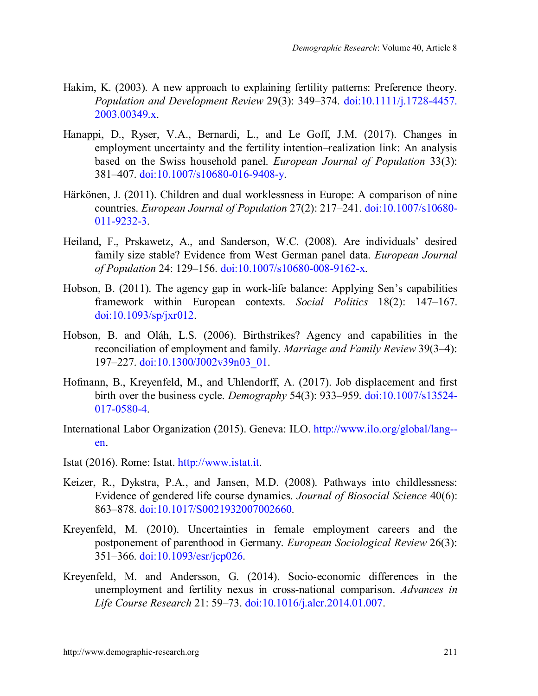- Hakim, K. (2003). A new approach to explaining fertility patterns: Preference theory. *Population and Development Review* 29(3): 349–374. [doi:10.1111/j.1728-4457.](https://doi.org/10.1111/j.1728-4457.2003.00349.x) [2003.00349.x.](https://doi.org/10.1111/j.1728-4457.2003.00349.x)
- Hanappi, D., Ryser, V.A., Bernardi, L., and Le Goff, J.M. (2017). Changes in employment uncertainty and the fertility intention–realization link: An analysis based on the Swiss household panel. *European Journal of Population* 33(3): 381–407. [doi:10.1007/s10680-016-9408-y.](https://doi.org/10.1007/s10680-016-9408-y)
- Härkönen, J. (2011). Children and dual worklessness in Europe: A comparison of nine countries. *European Journal of Population* 27(2): 217–241. [doi:10.1007/s10680-](https://doi.org/10.1007/s10680-011-9232-3) [011-9232-3.](https://doi.org/10.1007/s10680-011-9232-3)
- Heiland, F., Prskawetz, A., and Sanderson, W.C. (2008). Are individuals' desired family size stable? Evidence from West German panel data. *European Journal of Population* 24: 129–156. [doi:10.1007/s10680-008-9162-x.](https://doi.org/10.1007/s10680-008-9162-x)
- Hobson, B. (2011). The agency gap in work-life balance: Applying Sen's capabilities framework within European contexts. *Social Politics* 18(2): 147–167. [doi:10.1093/sp/jxr012.](https://doi.org/10.1093/sp/jxr012)
- Hobson, B. and Oláh, L.S. (2006). Birthstrikes? Agency and capabilities in the reconciliation of employment and family. *Marriage and Family Review* 39(3–4): 197–227. [doi:10.1300/J002v39n03\\_01.](https://doi.org/10.1300/J002v39n03_01)
- Hofmann, B., Kreyenfeld, M., and Uhlendorff, A. (2017). Job displacement and first birth over the business cycle. *Demography* 54(3): 933–959. [doi:10.1007/s13524-](https://doi.org/10.1007/s13524-017-0580-4) [017-0580-4.](https://doi.org/10.1007/s13524-017-0580-4)
- International Labor Organization (2015). Geneva: ILO. [http://www.ilo.org/global/lang-](http://www.ilo.org/global/lang--en) [en.](http://www.ilo.org/global/lang--en)
- Istat (2016). Rome: Istat. [http://www.istat.it.](http://www.istat.it/)
- Keizer, R., Dykstra, P.A., and Jansen, M.D. (2008). Pathways into childlessness: Evidence of gendered life course dynamics. *Journal of Biosocial Science* 40(6): 863–878. [doi:10.1017/S0021932007002660.](https://doi.org/10.1017/S0021932007002660)
- Kreyenfeld, M. (2010). Uncertainties in female employment careers and the postponement of parenthood in Germany. *European Sociological Review* 26(3): 351–366. [doi:10.1093/esr/jcp026.](https://doi.org/10.1093/esr/jcp026)
- Kreyenfeld, M. and Andersson, G. (2014). Socio-economic differences in the unemployment and fertility nexus in cross-national comparison. *Advances in Life Course Research* 21: 59–73. [doi:10.1016/j.alcr.2014.01.007.](https://doi.org/10.1016/j.alcr.2014.01.007)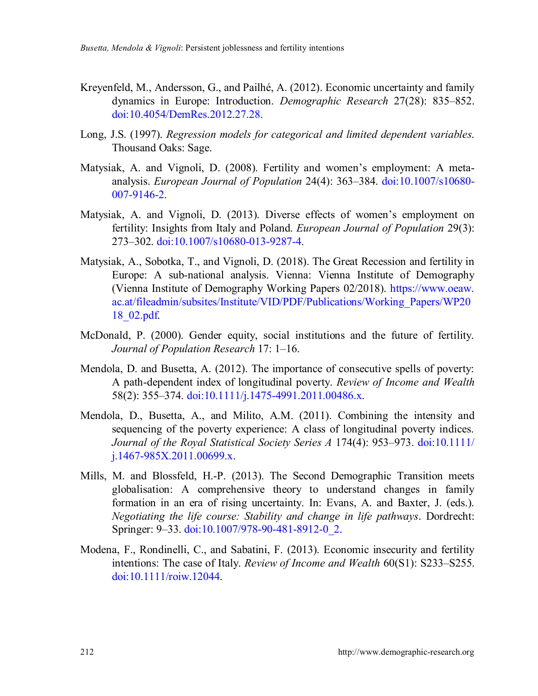- Kreyenfeld, M., Andersson, G., and Pailhé, A. (2012). Economic uncertainty and family dynamics in Europe: Introduction. *Demographic Research* 27(28): 835–852. [doi:10.4054/DemRes.2012.27.28.](https://doi.org/10.4054/DemRes.2012.27.28)
- Long, J.S. (1997). *Regression models for categorical and limited dependent variables*. Thousand Oaks: Sage.
- Matysiak, A. and Vignoli, D. (2008). Fertility and women's employment: A metaanalysis. *European Journal of Population* 24(4): 363–384. [doi:10.1007/s10680-](https://doi.org/10.1007/s10680-007-9146-2) [007-9146-2.](https://doi.org/10.1007/s10680-007-9146-2)
- Matysiak, A. and Vignoli, D. (2013). Diverse effects of women's employment on fertility: Insights from Italy and Poland. *European Journal of Population* 29(3): 273–302. [doi:10.1007/s10680-013-9287-4.](https://doi.org/10.1007/s10680-013-9287-4)
- Matysiak, A., Sobotka, T., and Vignoli, D. (2018). The Great Recession and fertility in Europe: A sub-national analysis. Vienna: Vienna Institute of Demography (Vienna Institute of Demography Working Papers 02/2018). [https://www.oeaw.](https://www.oeaw.ac.at/fileadmin/subsites/Institute/VID/PDF/Publications/Working_Papers/WP2018_02.pdf) [ac.at/fileadmin/subsites/Institute/VID/PDF/Publications/Working\\_Papers/WP20](https://www.oeaw.ac.at/fileadmin/subsites/Institute/VID/PDF/Publications/Working_Papers/WP2018_02.pdf) [18\\_02.pdf.](https://www.oeaw.ac.at/fileadmin/subsites/Institute/VID/PDF/Publications/Working_Papers/WP2018_02.pdf)
- McDonald, P. (2000). Gender equity, social institutions and the future of fertility. *Journal of Population Research* 17: 1–16.
- Mendola, D. and Busetta, A. (2012). The importance of consecutive spells of poverty: A path-dependent index of longitudinal poverty. *Review of Income and Wealth* 58(2): 355–374. [doi:10.1111/j.1475-4991.2011.00486.x.](https://doi.org/10.1111/j.1475-4991.2011.00486.x)
- Mendola, D., Busetta, A., and Milito, A.M. (2011). Combining the intensity and sequencing of the poverty experience: A class of longitudinal poverty indices. *Journal of the Royal Statistical Society Series A* 174(4): 953–973. [doi:10.1111/](https://doi.org/10.1111/j.1467-985X.2011.00699.x) [j.1467-985X.2011.00699.x.](https://doi.org/10.1111/j.1467-985X.2011.00699.x)
- Mills, M. and Blossfeld, H.-P. (2013). The Second Demographic Transition meets globalisation: A comprehensive theory to understand changes in family formation in an era of rising uncertainty. In: Evans, A. and Baxter, J. (eds.). *Negotiating the life course: Stability and change in life pathways*. Dordrecht: Springer: 9-33. [doi:10.1007/978-90-481-8912-0\\_2.](https://doi.org/10.1007/978-90-481-8912-0_2)
- Modena, F., Rondinelli, C., and Sabatini, F. (2013). Economic insecurity and fertility intentions: The case of Italy. *Review of Income and Wealth* 60(S1): S233–S255. [doi:10.1111/roiw.12044.](https://doi.org/10.1111/roiw.12044)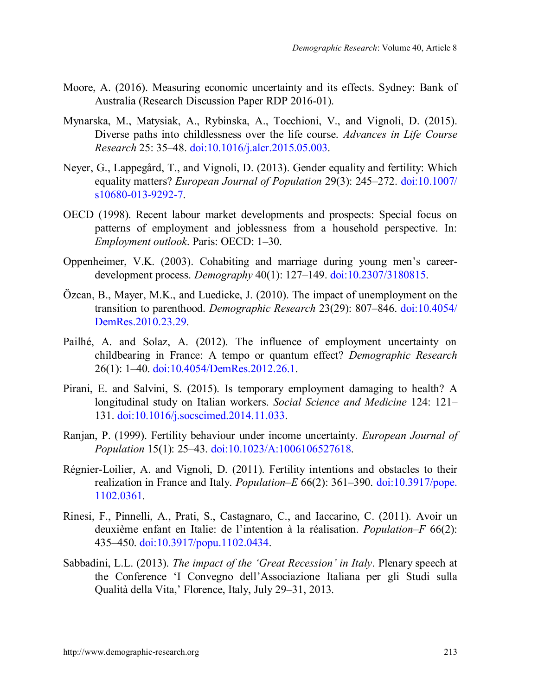- Moore, A. (2016). Measuring economic uncertainty and its effects. Sydney: Bank of Australia (Research Discussion Paper RDP 2016-01).
- Mynarska, M., Matysiak, A., Rybinska, A., Tocchioni, V., and Vignoli, D. (2015). Diverse paths into childlessness over the life course. *Advances in Life Course Research* 25: 35–48. [doi:10.1016/j.alcr.2015.05.003.](https://doi.org/10.1016/j.alcr.2015.05.003)
- Neyer, G., Lappegård, T., and Vignoli, D. (2013). Gender equality and fertility: Which equality matters? *European Journal of Population* 29(3): 245–272. [doi:10.1007/](https://doi.org/10.1007/s10680-013-9292-7) [s10680-013-9292-7.](https://doi.org/10.1007/s10680-013-9292-7)
- OECD (1998). Recent labour market developments and prospects: Special focus on patterns of employment and joblessness from a household perspective. In: *Employment outlook*. Paris: OECD: 1–30.
- Oppenheimer, V.K. (2003). Cohabiting and marriage during young men's careerdevelopment process. *Demography* 40(1): 127–149. [doi:10.2307/3180815.](https://doi.org/10.2307/3180815)
- Özcan, B., Mayer, M.K., and Luedicke, J. (2010). The impact of unemployment on the transition to parenthood. *Demographic Research* 23(29): 807–846. [doi:10.4054/](https://doi.org/10.4054/DemRes.2010.23.29) [DemRes.2010.23.29.](https://doi.org/10.4054/DemRes.2010.23.29)
- Pailhé, A. and Solaz, A. (2012). The influence of employment uncertainty on childbearing in France: A tempo or quantum effect? *Demographic Research* 26(1): 1–40. [doi:10.4054/DemRes.2012.26.1.](https://doi.org/10.4054/DemRes.2012.26.1)
- Pirani, E. and Salvini, S. (2015). Is temporary employment damaging to health? A longitudinal study on Italian workers. *Social Science and Medicine* 124: 121– 131. [doi:10.1016/j.socscimed.2014.11.033.](https://doi.org/10.1016/j.socscimed.2014.11.033)
- Ranjan, P. (1999). Fertility behaviour under income uncertainty. *European Journal of Population* 15(1): 25–43. [doi:10.1023/A:1006106527618.](https://doi.org/10.1023/A:1006106527618)
- Régnier-Loilier, A. and Vignoli, D. (2011). Fertility intentions and obstacles to their realization in France and Italy. *Population–E* 66(2): 361–390. [doi:10.3917/pope.](https://doi.org/10.3917/pope.1102.0361) [1102.0361.](https://doi.org/10.3917/pope.1102.0361)
- Rinesi, F., Pinnelli, A., Prati, S., Castagnaro, C., and Iaccarino, C. (2011). Avoir un deuxième enfant en Italie: de l'intention à la réalisation. *Population–F* 66(2): 435–450. [doi:10.3917/popu.1102.0434.](https://doi.org/10.3917/popu.1102.0434)
- Sabbadini, L.L. (2013). *The impact of the 'Great Recession' in Italy*. Plenary speech at the Conference 'I Convegno dell'Associazione Italiana per gli Studi sulla Qualità della Vita,' Florence, Italy, July 29‒31, 2013.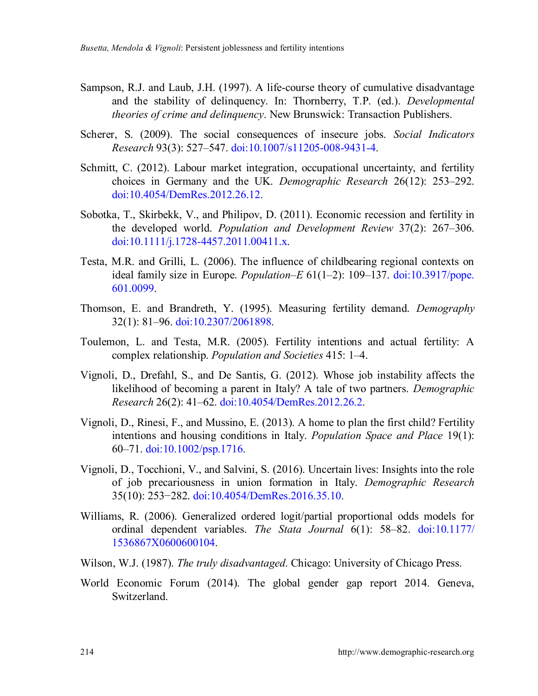- Sampson, R.J. and Laub, J.H. (1997). A life-course theory of cumulative disadvantage and the stability of delinquency. In: Thornberry, T.P. (ed.). *Developmental theories of crime and delinquency*. New Brunswick: Transaction Publishers.
- Scherer, S. (2009). The social consequences of insecure jobs. *Social Indicators Research* 93(3): 527–547. [doi:10.1007/s11205-008-9431-4.](https://link.springer.com/article/10.1007%2Fs11205-008-9431-4)
- Schmitt, C. (2012). Labour market integration, occupational uncertainty, and fertility choices in Germany and the UK. *Demographic Research* 26(12): 253–292. [doi:10.4054/DemRes.2012.26.12.](https://doi.org/10.4054/DemRes.2012.26.12)
- Sobotka, T., Skirbekk, V., and Philipov, D. (2011). Economic recession and fertility in the developed world. *Population and Development Review* 37(2): 267–306. [doi:10.1111/j.1728-4457.2011.00411.x.](https://doi.org/10.1111/j.1728-4457.2011.00411.x)
- Testa, M.R. and Grilli, L. (2006). The influence of childbearing regional contexts on ideal family size in Europe. *Population–E* 61(1–2): 109–137. [doi:10.3917/pope.](https://doi.org/10.3917/pope.601.0099) [601.0099.](https://doi.org/10.3917/pope.601.0099)
- Thomson, E. and Brandreth, Y. (1995). Measuring fertility demand. *Demography* 32(1): 81–96. [doi:10.2307/2061898.](https://doi.org/10.2307/2061898)
- Toulemon, L. and Testa, M.R. (2005). Fertility intentions and actual fertility: A complex relationship. *Population and Societies* 415: 1–4.
- Vignoli, D., Drefahl, S., and De Santis, G. (2012). Whose job instability affects the likelihood of becoming a parent in Italy? A tale of two partners. *Demographic Research* 26(2): 41–62. [doi:10.4054/DemRes.2012.26.2.](https://doi.org/10.4054/DemRes.2012.26.2)
- Vignoli, D., Rinesi, F., and Mussino, E. (2013). A home to plan the first child? Fertility intentions and housing conditions in Italy. *Population Space and Place* 19(1): 60–71. [doi:10.1002/psp.1716.](https://doi.org/10.1002/psp.1716)
- Vignoli, D., Tocchioni, V., and Salvini, S. (2016). Uncertain lives: Insights into the role of job precariousness in union formation in Italy. *Demographic Research* 35(10): 253−282. [doi:10.4054/DemRes.2016.35.10.](https://doi.org/10.4054/DemRes.2016.35.10)
- Williams, R. (2006). Generalized ordered logit/partial proportional odds models for ordinal dependent variables. *The Stata Journal* 6(1): 58–82. [doi:10.1177/](https://doi.org/10.1177/1536867X0600600104) [1536867X0600600104.](https://doi.org/10.1177/1536867X0600600104)
- Wilson, W.J. (1987). *The truly disadvantaged*. Chicago: University of Chicago Press.
- World Economic Forum (2014). The global gender gap report 2014. Geneva, Switzerland.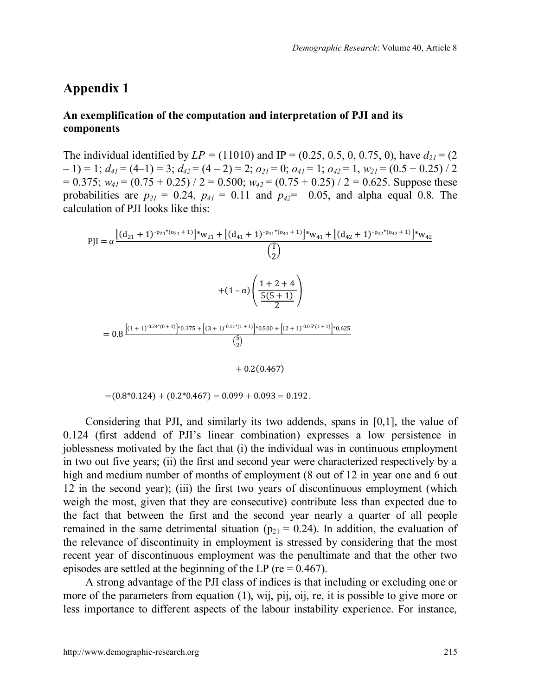## **Appendix 1**

#### **An exemplification of the computation and interpretation of PJI and its components**

The individual identified by  $LP = (11010)$  and  $IP = (0.25, 0.5, 0, 0.75, 0)$ , have  $d_{21} = (2$ – 1) = 1; *d<sup>41</sup>* = (4–1) = 3; *d<sup>42</sup>* = (4 – 2) = 2; *o<sup>21</sup>* = 0; *o<sup>41</sup>* = 1; *o<sup>42</sup>* = 1, *w<sup>21</sup>* = (0.5 + 0.25) / 2  $= 0.375$ ;  $w_{41} = (0.75 + 0.25) / 2 = 0.500$ ;  $w_{42} = (0.75 + 0.25) / 2 = 0.625$ . Suppose these probabilities are  $p_{21} = 0.24$ ,  $p_{41} = 0.11$  and  $p_{42} = 0.05$ , and alpha equal 0.8. The calculation of PJI looks like this:

$$
PJI = \alpha \frac{\left[ (d_{21} + 1)^{\cdot p_{21} * (o_{21} + 1)} \right] * w_{21} + \left[ (d_{41} + 1)^{\cdot p_{41} * (o_{41} + 1)} \right] * w_{41} + \left[ (d_{42} + 1)^{\cdot p_{42} * (o_{42} + 1)} \right] * w_{42}}{\binom{T}{2}}
$$
  
+ 
$$
(1 - \alpha) \left( \frac{1 + 2 + 4}{\frac{5(5 + 1)}{2}} \right)
$$
  
= 
$$
0.8 \frac{\left[ (1 + 1)^{-0.24 * (0 + 1)} \right] * 0.375 + \left[ (3 + 1)^{-0.11 * (1 + 1)} \right] * 0.500 + \left[ (2 + 1)^{-0.05 * (1 + 1)} \right] * 0.625}{\binom{5}{2}}
$$
  
+ 
$$
0.2(0.467)
$$

 $=(0.8*0.124) + (0.2*0.467) = 0.099 + 0.093 = 0.192$ .

Considering that PJI, and similarly its two addends, spans in [0,1], the value of 0.124 (first addend of PJI's linear combination) expresses a low persistence in joblessness motivated by the fact that (i) the individual was in continuous employment in two out five years; (ii) the first and second year were characterized respectively by a high and medium number of months of employment (8 out of 12 in year one and 6 out 12 in the second year); (iii) the first two years of discontinuous employment (which weigh the most, given that they are consecutive) contribute less than expected due to the fact that between the first and the second year nearly a quarter of all people remained in the same detrimental situation ( $p_{21} = 0.24$ ). In addition, the evaluation of the relevance of discontinuity in employment is stressed by considering that the most recent year of discontinuous employment was the penultimate and that the other two episodes are settled at the beginning of the LP ( $re = 0.467$ ).

A strong advantage of the PJI class of indices is that including or excluding one or more of the parameters from equation (1), wij, pij, oij, re, it is possible to give more or less importance to different aspects of the labour instability experience. For instance,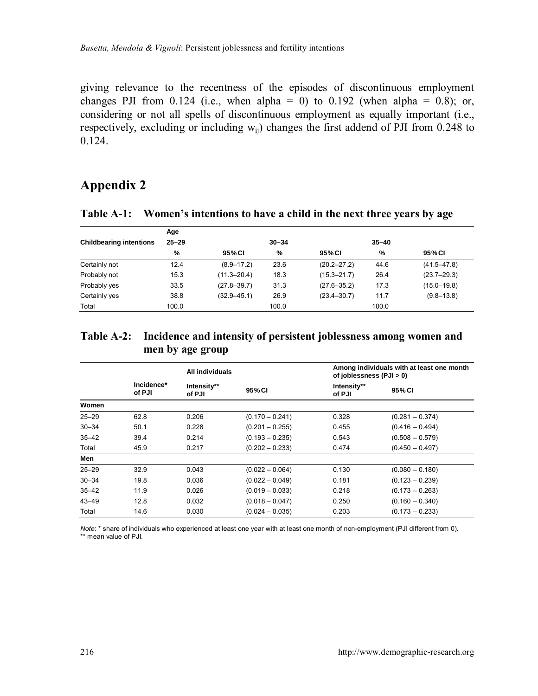giving relevance to the recentness of the episodes of discontinuous employment changes PJI from 0.124 (i.e., when alpha = 0) to 0.192 (when alpha = 0.8); or, considering or not all spells of discontinuous employment as equally important (i.e., respectively, excluding or including  $w_{ii}$ ) changes the first addend of PJI from 0.248 to 0.124.

## **Appendix 2**

|                                | Age       |                 |           |                 |               |                 |
|--------------------------------|-----------|-----------------|-----------|-----------------|---------------|-----------------|
| <b>Childbearing intentions</b> | $25 - 29$ |                 | $30 - 34$ |                 | $35 - 40$     |                 |
|                                | %         | 95% CI          | %         | 95% CI          | $\frac{9}{6}$ | 95% CI          |
| Certainly not                  | 12.4      | $(8.9 - 17.2)$  | 23.6      | $(20.2 - 27.2)$ | 44.6          | $(41.5 - 47.8)$ |
| Probably not                   | 15.3      | $(11.3 - 20.4)$ | 18.3      | $(15.3 - 21.7)$ | 26.4          | $(23.7 - 29.3)$ |
| Probably yes                   | 33.5      | $(27.8 - 39.7)$ | 31.3      | $(27.6 - 35.2)$ | 17.3          | $(15.0 - 19.8)$ |
| Certainly yes                  | 38.8      | $(32.9 - 45.1)$ | 26.9      | $(23.4 - 30.7)$ | 11.7          | $(9.8 - 13.8)$  |
| Total                          | 100.0     |                 | 100.0     |                 | 100.0         |                 |

**Table A-1: Women's intentions to have a child in the next three years by age**

## **Table A-2: Incidence and intensity of persistent joblessness among women and men by age group**

|           | All individuals      |                       |                   |                       | Among individuals with at least one month<br>of joblessness (PJI > 0) |  |
|-----------|----------------------|-----------------------|-------------------|-----------------------|-----------------------------------------------------------------------|--|
|           | Incidence*<br>of PJI | Intensity**<br>of PJI | 95% CI            | Intensity**<br>of PJI | 95% CI                                                                |  |
| Women     |                      |                       |                   |                       |                                                                       |  |
| $25 - 29$ | 62.8                 | 0.206                 | $(0.170 - 0.241)$ | 0.328                 | $(0.281 - 0.374)$                                                     |  |
| $30 - 34$ | 50.1                 | 0.228                 | $(0.201 - 0.255)$ | 0.455                 | $(0.416 - 0.494)$                                                     |  |
| $35 - 42$ | 39.4                 | 0.214                 | $(0.193 - 0.235)$ | 0.543                 | $(0.508 - 0.579)$                                                     |  |
| Total     | 45.9                 | 0.217                 | $(0.202 - 0.233)$ | 0.474                 | $(0.450 - 0.497)$                                                     |  |
| Men       |                      |                       |                   |                       |                                                                       |  |
| $25 - 29$ | 32.9                 | 0.043                 | $(0.022 - 0.064)$ | 0.130                 | $(0.080 - 0.180)$                                                     |  |
| $30 - 34$ | 19.8                 | 0.036                 | $(0.022 - 0.049)$ | 0.181                 | $(0.123 - 0.239)$                                                     |  |
| $35 - 42$ | 11.9                 | 0.026                 | $(0.019 - 0.033)$ | 0.218                 | $(0.173 - 0.263)$                                                     |  |
| $43 - 49$ | 12.8                 | 0.032                 | $(0.018 - 0.047)$ | 0.250                 | $(0.160 - 0.340)$                                                     |  |
| Total     | 14.6                 | 0.030                 | $(0.024 - 0.035)$ | 0.203                 | $(0.173 - 0.233)$                                                     |  |

*Note*: \* share of individuals who experienced at least one year with at least one month of non-employment (PJI different from 0). \*\* mean value of PJI.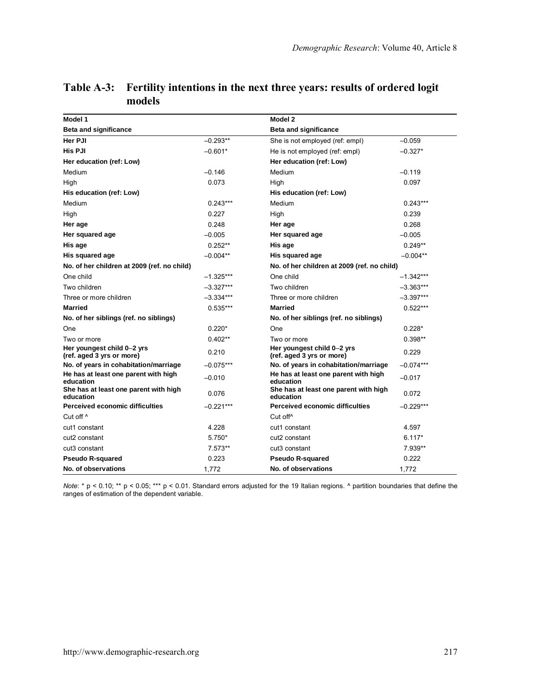| Model 1                                                 |             | Model 2                                                 |             |
|---------------------------------------------------------|-------------|---------------------------------------------------------|-------------|
| <b>Beta and significance</b>                            |             | <b>Beta and significance</b>                            |             |
| Her PJI                                                 | $-0.293**$  | She is not employed (ref: empl)                         | $-0.059$    |
| His PJI                                                 | $-0.601*$   | He is not employed (ref: empl)                          | $-0.327*$   |
| Her education (ref: Low)                                |             | Her education (ref: Low)                                |             |
| Medium                                                  | $-0.146$    | Medium                                                  | $-0.119$    |
| High                                                    | 0.073       | High                                                    | 0.097       |
| His education (ref: Low)                                |             | His education (ref: Low)                                |             |
| Medium                                                  | $0.243***$  | Medium                                                  | $0.243***$  |
| High                                                    | 0.227       | High                                                    | 0.239       |
| Her age                                                 | 0.248       | Her age                                                 | 0.268       |
| Her squared age                                         | $-0.005$    | Her squared age                                         | $-0.005$    |
| His age                                                 | $0.252**$   | His age                                                 | $0.249**$   |
| His squared age                                         | $-0.004**$  | His squared age                                         | $-0.004**$  |
| No. of her children at 2009 (ref. no child)             |             | No. of her children at 2009 (ref. no child)             |             |
| One child                                               | $-1.325***$ | One child                                               | $-1.342***$ |
| Two children                                            | $-3.327***$ | Two children                                            | $-3.363***$ |
| Three or more children                                  | $-3.334***$ | Three or more children                                  | $-3.397***$ |
| <b>Married</b>                                          | $0.535***$  | Married                                                 | $0.522***$  |
| No. of her siblings (ref. no siblings)                  |             | No. of her siblings (ref. no siblings)                  |             |
| One                                                     | $0.220*$    | One                                                     | $0.228*$    |
| Two or more                                             | $0.402**$   | Two or more                                             | $0.398**$   |
| Her youngest child 0-2 yrs<br>(ref. aged 3 yrs or more) | 0.210       | Her youngest child 0-2 yrs<br>(ref. aged 3 yrs or more) | 0.229       |
| No. of years in cohabitation/marriage                   | $-0.075***$ | No. of years in cohabitation/marriage                   | $-0.074***$ |
| He has at least one parent with high<br>education       | $-0.010$    | He has at least one parent with high<br>education       | $-0.017$    |
| She has at least one parent with high<br>education      | 0.076       | She has at least one parent with high<br>education      | 0.072       |
| Perceived economic difficulties                         | $-0.221***$ | Perceived economic difficulties                         | $-0.229***$ |
| Cut off ^                                               |             | Cut off <sup>^</sup>                                    |             |
| cut1 constant                                           | 4.228       | cut1 constant                                           | 4.597       |
| cut2 constant                                           | $5.750*$    | cut2 constant                                           | $6.117*$    |
| cut3 constant                                           | 7.573**     | cut3 constant                                           | 7.939**     |
| <b>Pseudo R-squared</b>                                 | 0.223       | Pseudo R-squared                                        | 0.222       |
| No. of observations                                     | 1,772       | No. of observations                                     | 1,772       |

#### **Table A-3: Fertility intentions in the next three years: results of ordered logit models**

*Note*: \* p < 0.10; \*\* p < 0.05; \*\*\* p < 0.01. Standard errors adjusted for the 19 Italian regions. ^ partition boundaries that define the ranges of estimation of the dependent variable.